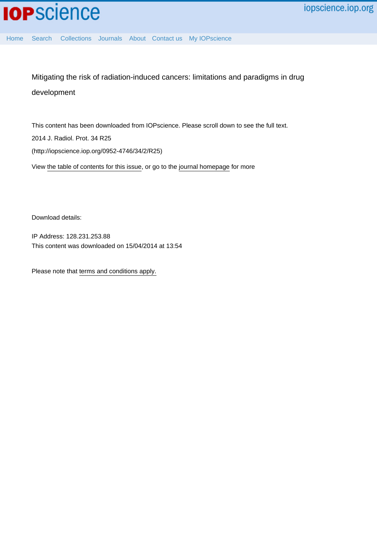<span id="page-0-0"></span>

[Home](http://iopscience.iop.org/) [Search](http://iopscience.iop.org/search) [Collections](http://iopscience.iop.org/collections) [Journals](http://iopscience.iop.org/journals) [About](http://iopscience.iop.org/page/aboutioppublishing) [Contact us](http://iopscience.iop.org/contact) [My IOPscience](http://iopscience.iop.org/myiopscience)

Mitigating the risk of radiation-induced cancers: limitations and paradigms in drug development

This content has been downloaded from IOPscience. Please scroll down to see the full text. View [the table of contents for this issue](http://iopscience.iop.org/0952-4746/34/2), or go to the [journal homepage](http://iopscience.iop.org/0952-4746) for more 2014 J. Radiol. Prot. 34 R25 (http://iopscience.iop.org/0952-4746/34/2/R25)

Download details:

IP Address: 128.231.253.88 This content was downloaded on 15/04/2014 at 13:54

Please note that [terms and conditions apply.](iopscience.iop.org/page/terms)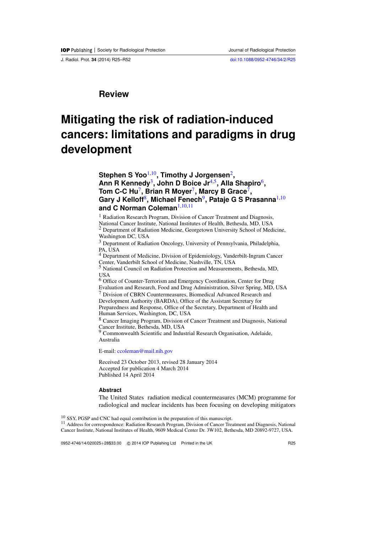J. Radiol. Prot. **34** (2014) R25–R52

**Review**

# **Mitigating the risk of radiation-induced cancers: limitations and paradigms in drug development**

**Stephen S Yoo**[1](#page-1-0)[,10](#page-1-1)**, Timothy J Jorgensen**[2](#page-1-2) **,** Ann R Kennedy<sup>[3](#page-1-3)</sup>, John D Boice Jr<sup>[4,](#page-1-4)[5](#page-1-5)</sup>, Alla Shapiro<sup>[6](#page-1-6)</sup>, **Tom C-C Hu**[7](#page-1-7) **, Brian R Moyer**[7](#page-1-7) **, Marcy B Grace**[7](#page-1-7) **,** Gary J Kelloff<sup>[8](#page-1-8)</sup>, Michael Fenech<sup>[9](#page-1-9)</sup>, Pataje G S Prasanna<sup>[1,](#page-1-0)[10](#page-1-1)</sup> and C Norman Coleman<sup>[1,](#page-1-0)[10,](#page-1-1)[11](#page-1-10)</sup>

<span id="page-1-0"></span><sup>1</sup> Radiation Research Program, Division of Cancer Treatment and Diagnosis,

<span id="page-1-2"></span>National Cancer Institute, National Institutes of Health, Bethesda, MD, USA <sup>2</sup> Department of Radiation Medicine, Georgetown University School of Medicine, Washington DC, USA

<span id="page-1-3"></span><sup>3</sup> Department of Radiation Oncology, University of Pennsylvania, Philadelphia, PA, USA

<span id="page-1-4"></span><sup>4</sup> Department of Medicine, Division of Epidemiology, Vanderbilt-Ingram Cancer Center, Vanderbilt School of Medicine, Nashville, TN, USA

<span id="page-1-5"></span><sup>5</sup> National Council on Radiation Protection and Measurements, Bethesda, MD, USA

<span id="page-1-7"></span><span id="page-1-6"></span><sup>6</sup> Office of Counter-Terrorism and Emergency Coordination, Center for Drug Evaluation and Research, Food and Drug Administration, Silver Spring, MD, USA <sup>7</sup> Division of CBRN Countermeasures, Biomedical Advanced Research and Development Authority (BARDA), Office of the Assistant Secretary for Preparedness and Response, Office of the Secretary, Department of Health and Human Services, Washington, DC, USA

<span id="page-1-8"></span><sup>8</sup> Cancer Imaging Program, Division of Cancer Treatment and Diagnosis, National

<span id="page-1-9"></span>Cancer Institute, Bethesda, MD, USA <sup>9</sup> Commonwealth Scientific and Industrial Research Organisation, Adelaide, Australia

E-mail: [ccoleman@mail.nih.gov](mailto:ccoleman@mail.nih.gov)

Received 23 October 2013, revised 28 January 2014 Accepted for publication 4 March 2014 Published 14 April 2014

#### **Abstract**

The United States radiation medical countermeasures (MCM) programme for radiological and nuclear incidents has been focusing on developing mitigators

<span id="page-1-10"></span><span id="page-1-1"></span><sup>10</sup> SSY, PGSP and CNC had equal contribution in the preparation of this manuscript.

<sup>11</sup> Address for correspondence: Radiation Research Program, Division of Cancer Treatment and Diagnosis, National Cancer Institute, National Institutes of Health, 9609 Medical Center Dr. 3W102, Bethesda, MD 20892-9727, USA.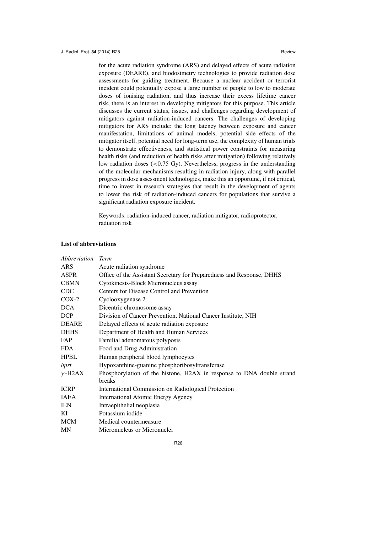for the acute radiation syndrome (ARS) and delayed effects of acute radiation exposure (DEARE), and biodosimetry technologies to provide radiation dose assessments for guiding treatment. Because a nuclear accident or terrorist incident could potentially expose a large number of people to low to moderate doses of ionising radiation, and thus increase their excess lifetime cancer risk, there is an interest in developing mitigators for this purpose. This article discusses the current status, issues, and challenges regarding development of mitigators against radiation-induced cancers. The challenges of developing mitigators for ARS include: the long latency between exposure and cancer manifestation, limitations of animal models, potential side effects of the mitigator itself, potential need for long-term use, the complexity of human trials to demonstrate effectiveness, and statistical power constraints for measuring health risks (and reduction of health risks after mitigation) following relatively low radiation doses (<0.75 Gy). Nevertheless, progress in the understanding of the molecular mechanisms resulting in radiation injury, along with parallel progress in dose assessment technologies, make this an opportune, if not critical, time to invest in research strategies that result in the development of agents to lower the risk of radiation-induced cancers for populations that survive a significant radiation exposure incident.

Keywords: radiation-induced cancer, radiation mitigator, radioprotector, radiation risk

## List of abbreviations

| Abbreviation             | <b>Term</b>                                                                     |
|--------------------------|---------------------------------------------------------------------------------|
| <b>ARS</b>               | Acute radiation syndrome                                                        |
| <b>ASPR</b>              | Office of the Assistant Secretary for Preparedness and Response, DHHS           |
| <b>CBMN</b>              | Cytokinesis-Block Micronucleus assay                                            |
| <b>CDC</b>               | Centers for Disease Control and Prevention                                      |
| $COX-2$                  | Cyclooxygenase 2                                                                |
| <b>DCA</b>               | Dicentric chromosome assay                                                      |
| <b>DCP</b>               | Division of Cancer Prevention, National Cancer Institute, NIH                   |
| <b>DEARE</b>             | Delayed effects of acute radiation exposure                                     |
| <b>DHHS</b>              | Department of Health and Human Services                                         |
| FAP                      | Familial adenomatous polyposis                                                  |
| <b>FDA</b>               | Food and Drug Administration                                                    |
| <b>HPBL</b>              | Human peripheral blood lymphocytes                                              |
| hprt                     | Hypoxanthine-guanine phosphoribosyltransferase                                  |
| $\nu$ -H <sub>2</sub> AX | Phosphorylation of the histone, H2AX in response to DNA double strand<br>breaks |
| <b>ICRP</b>              | International Commission on Radiological Protection                             |
| <b>IAEA</b>              | <b>International Atomic Energy Agency</b>                                       |
| <b>IEN</b>               | Intraepithelial neoplasia                                                       |
| KI                       | Potassium iodide                                                                |
| <b>MCM</b>               | Medical countermeasure                                                          |
| <b>MN</b>                | Micronucleus or Micronuclei                                                     |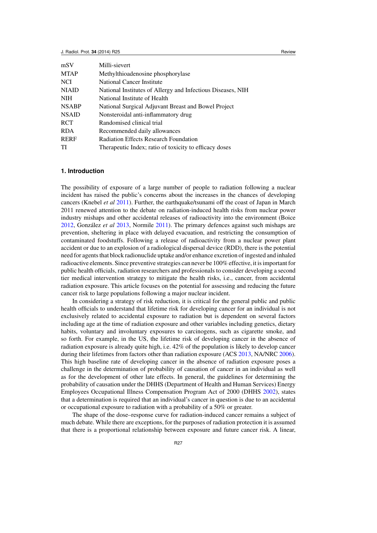| mSV          | Milli-sievert                                               |
|--------------|-------------------------------------------------------------|
| <b>MTAP</b>  | Methylthioadenosine phosphorylase                           |
| <b>NCI</b>   | National Cancer Institute                                   |
| <b>NIAID</b> | National Institutes of Allergy and Infectious Diseases, NIH |
| <b>NIH</b>   | National Institute of Health                                |
| <b>NSABP</b> | National Surgical Adjuvant Breast and Bowel Project         |
| <b>NSAID</b> | Nonsteroidal anti-inflammatory drug                         |
| <b>RCT</b>   | Randomised clinical trial                                   |
| <b>RDA</b>   | Recommended daily allowances                                |
| <b>RERF</b>  | <b>Radiation Effects Research Foundation</b>                |
| TІ           | Therapeutic Index; ratio of toxicity to efficacy doses      |

# **1. Introduction**

The possibility of exposure of a large number of people to radiation following a nuclear incident has raised the public's concerns about the increases in the chances of developing cancers (Knebel *et al* [2011\)](#page-25-0). Further, the earthquake/tsunami off the coast of Japan in March 2011 renewed attention to the debate on radiation-induced health risks from nuclear power industry mishaps and other accidental releases of radioactivity into the environment (Boice [2012,](#page-21-0) González *et al* [2013,](#page-23-0) Normile [2011\)](#page-26-0). The primary defences against such mishaps are prevention, sheltering in place with delayed evacuation, and restricting the consumption of contaminated foodstuffs. Following a release of radioactivity from a nuclear power plant accident or due to an explosion of a radiological dispersal device (RDD), there is the potential need for agents that block radionuclide uptake and/or enhance excretion of ingested and inhaled radioactive elements. Since preventive strategies can never be 100% effective, it is important for public health officials, radiation researchers and professionals to consider developing a second tier medical intervention strategy to mitigate the health risks, i.e., cancer, from accidental radiation exposure. This article focuses on the potential for assessing and reducing the future cancer risk to large populations following a major nuclear incident.

In considering a strategy of risk reduction, it is critical for the general public and public health officials to understand that lifetime risk for developing cancer for an individual is not exclusively related to accidental exposure to radiation but is dependent on several factors including age at the time of radiation exposure and other variables including genetics, dietary habits, voluntary and involuntary exposures to carcinogens, such as cigarette smoke, and so forth. For example, in the US, the lifetime risk of developing cancer in the absence of radiation exposure is already quite high, i.e. 42% of the population is likely to develop cancer during their lifetimes from factors other than radiation exposure (ACS [2013,](#page-20-0) NA/NRC [2006\)](#page-26-1). This high baseline rate of developing cancer in the absence of radiation exposure poses a challenge in the determination of probability of causation of cancer in an individual as well as for the development of other late effects. In general, the guidelines for determining the probability of causation under the DHHS (Department of Health and Human Services) Energy Employees Occupational Illness Compensation Program Act of 2000 (DHHS [2002\)](#page-22-0), states that a determination is required that an individual's cancer in question is due to an accidental or occupational exposure to radiation with a probability of a 50% or greater.

The shape of the dose–response curve for radiation-induced cancer remains a subject of much debate. While there are exceptions, for the purposes of radiation protection it is assumed that there is a proportional relationship between exposure and future cancer risk. A linear,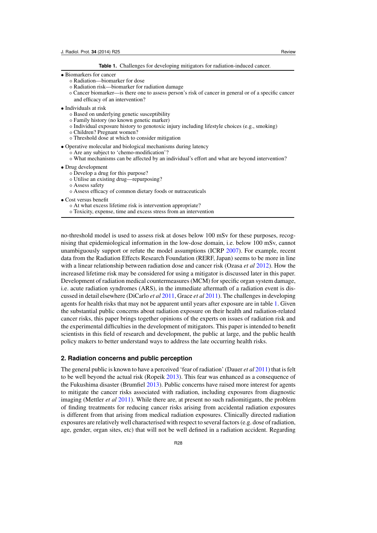<span id="page-4-0"></span>**Table 1.** Challenges for developing mitigators for radiation-induced cancer.

- Biomarkers for cancer
	- Radiation—biomarker for dose
	- Radiation risk—biomarker for radiation damage
	- Cancer biomarker—is there one to assess person's risk of cancer in general or of a specific cancer and efficacy of an intervention?
- Individuals at risk
	- Based on underlying genetic susceptibility
	- Family history (no known genetic marker)
	- Individual exposure history to genotoxic injury including lifestyle choices (e.g., smoking)
	- Children? Pregnant women?
	- Threshold dose at which to consider mitigation
- Operative molecular and biological mechanisms during latency
	- Are any subject to 'chemo-modification'?
	- What mechanisms can be affected by an individual's effort and what are beyond intervention?
- Drug development
	- Develop a drug for this purpose?
	- Utilise an existing drug—repurposing?
	- Assess safety
	- Assess efficacy of common dietary foods or nutraceuticals

• Cost versus benefit

- At what excess lifetime risk is intervention appropriate?
- Toxicity, expense, time and excess stress from an intervention

no-threshold model is used to assess risk at doses below 100 mSv for these purposes, recognising that epidemiological information in the low-dose domain, i.e. below 100 mSv, cannot unambiguously support or refute the model assumptions (ICRP [2007\)](#page-24-0). For example, recent data from the Radiation Effects Research Foundation (RERF, Japan) seems to be more in line with a linear relationship between radiation dose and cancer risk (Ozasa *et al* [2012\)](#page-26-2). How the increased lifetime risk may be considered for using a mitigator is discussed later in this paper. Development of radiation medical countermeasures (MCM) for specific organ system damage, i.e. acute radiation syndromes (ARS), in the immediate aftermath of a radiation event is discussed in detail elsewhere (DiCarlo *et al* [2011,](#page-22-1) Grace *et al* [2011\)](#page-23-1). The challenges in developing agents for health risks that may not be apparent until years after exposure are in table [1.](#page-4-0) Given the substantial public concerns about radiation exposure on their health and radiation-related cancer risks, this paper brings together opinions of the experts on issues of radiation risk and the experimental difficulties in the development of mitigators. This paper is intended to benefit scientists in this field of research and development, the public at large, and the public health policy makers to better understand ways to address the late occurring health risks.

#### **2. Radiation concerns and public perception**

The general public is known to have a perceived 'fear of radiation' (Dauer *et al* [2011\)](#page-22-2) that is felt to be well beyond the actual risk (Ropeik [2013\)](#page-26-3). This fear was enhanced as a consequence of the Fukushima disaster (Brumfiel [2013\)](#page-22-3). Public concerns have raised more interest for agents to mitigate the cancer risks associated with radiation, including exposures from diagnostic imaging (Mettler *et al* [2011\)](#page-25-1). While there are, at present no such radiomitigants, the problem of finding treatments for reducing cancer risks arising from accidental radiation exposures is different from that arising from medical radiation exposures. Clinically directed radiation exposures are relatively well characterised with respect to several factors (e.g. dose of radiation, age, gender, organ sites, etc) that will not be well defined in a radiation accident. Regarding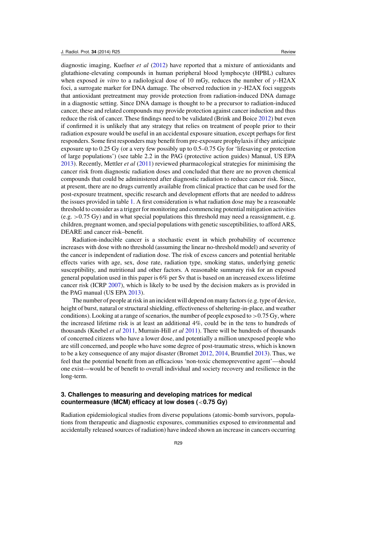diagnostic imaging, Kuefner *et al* [\(2012\)](#page-25-2) have reported that a mixture of antioxidants and glutathione-elevating compounds in human peripheral blood lymphocyte (HPBL) cultures when exposed *in vitro* to a radiological dose of 10 mGy, reduces the number of  $\gamma$ -H2AX foci, a surrogate marker for DNA damage. The observed reduction in  $\gamma$ -H2AX foci suggests that antioxidant pretreatment may provide protection from radiation-induced DNA damage in a diagnostic setting. Since DNA damage is thought to be a precursor to radiation-induced cancer, these and related compounds may provide protection against cancer induction and thus reduce the risk of cancer. These findings need to be validated (Brink and Boice [2012\)](#page-22-4) but even if confirmed it is unlikely that any strategy that relies on treatment of people prior to their radiation exposure would be useful in an accidental exposure situation, except perhaps for first responders. Some first responders may benefit from pre-exposure prophylaxis if they anticipate exposure up to 0.25 Gy (or a very few possibly up to 0.5–0.75 Gy for 'lifesaving or protection of large populations') (see table 2.2 in the PAG (protective action guides) Manual, US EPA [2013\)](#page-27-0). Recently, Mettler *et al* [\(2011\)](#page-25-1) reviewed pharmacological strategies for minimising the cancer risk from diagnostic radiation doses and concluded that there are no proven chemical compounds that could be administered after diagnostic radiation to reduce cancer risk. Since, at present, there are no drugs currently available from clinical practice that can be used for the post-exposure treatment, specific research and development efforts that are needed to address the issues provided in table [1.](#page-4-0) A first consideration is what radiation dose may be a reasonable threshold to consider as a trigger for monitoring and commencing potential mitigation activities (e.g.  $>0.75$  Gy) and in what special populations this threshold may need a reassignment, e.g. children, pregnant women, and special populations with genetic susceptibilities, to afford ARS, DEARE and cancer risk–benefit.

Radiation-inducible cancer is a stochastic event in which probability of occurrence increases with dose with no threshold (assuming the linear no-threshold model) and severity of the cancer is independent of radiation dose. The risk of excess cancers and potential heritable effects varies with age, sex, dose rate, radiation type, smoking status, underlying genetic susceptibility, and nutritional and other factors. A reasonable summary risk for an exposed general population used in this paper is  $6\%$  per Sv that is based on an increased excess lifetime cancer risk (ICRP [2007\)](#page-24-0), which is likely to be used by the decision makers as is provided in the PAG manual (US EPA [2013\)](#page-27-0).

The number of people at risk in an incident will depend on many factors (e.g. type of device, height of burst, natural or structural shielding, effectiveness of sheltering-in-place, and weather conditions). Looking at a range of scenarios, the number of people exposed to  $> 0.75$  Gy, where the increased lifetime risk is at least an additional 4%, could be in the tens to hundreds of thousands (Knebel *et al* [2011,](#page-25-0) Murrain-Hill *et al* [2011\)](#page-25-3). There will be hundreds of thousands of concerned citizens who have a lower dose, and potentially a million unexposed people who are still concerned, and people who have some degree of post-traumatic stress, which is known to be a key consequence of any major disaster (Bromet [2012,](#page-22-5) [2014,](#page-22-6) Brumfiel [2013\)](#page-22-3). Thus, we feel that the potential benefit from an efficacious 'non-toxic chemopreventive agent'—should one exist—would be of benefit to overall individual and society recovery and resilience in the long-term.

# **3. Challenges to measuring and developing matrices for medical countermeasure (MCM) efficacy at low doses (**<**0.75 Gy)**

Radiation epidemiological studies from diverse populations (atomic-bomb survivors, populations from therapeutic and diagnostic exposures, communities exposed to environmental and accidentally released sources of radiation) have indeed shown an increase in cancers occurring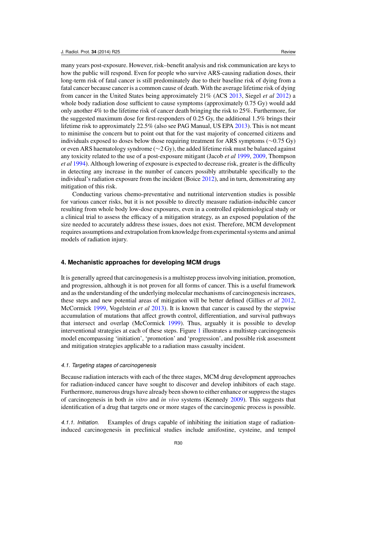many years post-exposure. However, risk–benefit analysis and risk communication are keys to how the public will respond. Even for people who survive ARS-causing radiation doses, their long-term risk of fatal cancer is still predominately due to their baseline risk of dying from a fatal cancer because cancer is a common cause of death. With the average lifetime risk of dying from cancer in the United States being approximately 21% (ACS [2013,](#page-20-0) Siegel *et al* [2012\)](#page-27-1) a whole body radiation dose sufficient to cause symptoms (approximately 0.75 Gy) would add only another 4% to the lifetime risk of cancer death bringing the risk to 25%. Furthermore, for the suggested maximum dose for first-responders of 0.25 Gy, the additional 1.5% brings their lifetime risk to approximately 22.5% (also see PAG Manual, US EPA [2013\)](#page-27-0). This is not meant to minimise the concern but to point out that for the vast majority of concerned citizens and individuals exposed to doses below those requiring treatment for ARS symptoms (∼0.75 Gy) or even ARS haematology syndrome (∼2 Gy), the added lifetime risk must be balanced against any toxicity related to the use of a post-exposure mitigant (Jacob *et al* [1999,](#page-24-1) [2009,](#page-24-2) Thompson *et al* [1994\)](#page-27-2). Although lowering of exposure is expected to decrease risk, greater is the difficulty in detecting any increase in the number of cancers possibly attributable specifically to the individual's radiation exposure from the incident (Boice [2012\)](#page-21-0), and in turn, demonstrating any mitigation of this risk.

Conducting various chemo-preventative and nutritional intervention studies is possible for various cancer risks, but it is not possible to directly measure radiation-inducible cancer resulting from whole body low-dose exposures, even in a controlled epidemiological study or a clinical trial to assess the efficacy of a mitigation strategy, as an exposed population of the size needed to accurately address these issues, does not exist. Therefore, MCM development requires assumptions and extrapolation from knowledge from experimental systems and animal models of radiation injury.

## **4. Mechanistic approaches for developing MCM drugs**

It is generally agreed that carcinogenesis is a multistep process involving initiation, promotion, and progression, although it is not proven for all forms of cancer. This is a useful framework and as the understanding of the underlying molecular mechanisms of carcinogenesis increases, these steps and new potential areas of mitigation will be better defined (Gillies *et al* [2012,](#page-23-2) McCormick [1999,](#page-25-4) Vogelstein *et al* [2013\)](#page-27-3). It is known that cancer is caused by the stepwise accumulation of mutations that affect growth control, differentiation, and survival pathways that intersect and overlap (McCormick [1999\)](#page-25-4). Thus, arguably it is possible to develop interventional strategies at each of these steps. Figure [1](#page-7-0) illustrates a multistep carcinogenesis model encompassing 'initiation', 'promotion' and 'progression', and possible risk assessment and mitigation strategies applicable to a radiation mass casualty incident.

#### *4.1. Targeting stages of carcinogenesis*

Because radiation interacts with each of the three stages, MCM drug development approaches for radiation-induced cancer have sought to discover and develop inhibitors of each stage. Furthermore, numerous drugs have already been shown to either enhance or suppress the stages of carcinogenesis in both *in vitro* and *in vivo* systems (Kennedy [2009\)](#page-24-3). This suggests that identification of a drug that targets one or more stages of the carcinogenic process is possible.

*4.1.1. Initiation.* Examples of drugs capable of inhibiting the initiation stage of radiationinduced carcinogenesis in preclinical studies include amifostine, cysteine, and tempol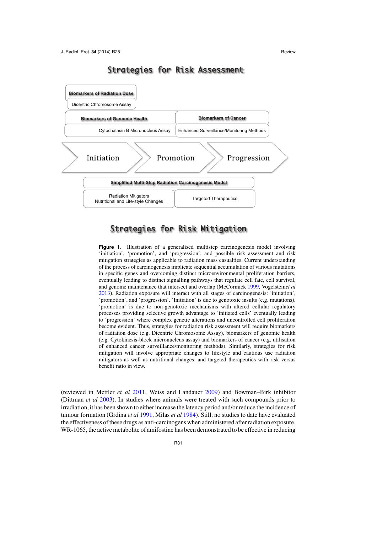

# <span id="page-7-0"></span>Strategies for Risk Assessment

# Strategies for Risk Mitigation

**Figure 1.** Illustration of a generalised multistep carcinogenesis model involving 'initiation', 'promotion', and 'progression', and possible risk assessment and risk mitigation strategies as applicable to radiation mass casualties. Current understanding of the process of carcinogenesis implicate sequential accumulation of various mutations in specific genes and overcoming distinct microenvironmental proliferation barriers, eventually leading to distinct signalling pathways that regulate cell fate, cell survival, and genome maintenance that intersect and overlap (McCormick [1999,](#page-25-4) Vogelstein*et al* [2013\)](#page-27-3). Radiation exposure will interact with all stages of carcinogenesis: 'initiation', 'promotion', and 'progression'. 'Initiation' is due to genotoxic insults (e.g. mutations), 'promotion' is due to non-genotoxic mechanisms with altered cellular regulatory processes providing selective growth advantage to 'initiated cells' eventually leading to 'progression' where complex genetic alterations and uncontrolled cell proliferation become evident. Thus, strategies for radiation risk assessment will require biomarkers of radiation dose (e.g. Dicentric Chromosome Assay), biomarkers of genomic health (e.g. Cytokinesis-block micronucleus assay) and biomarkers of cancer (e.g. utilisation of enhanced cancer surveillance/monitoring methods). Similarly, strategies for risk mitigation will involve appropriate changes to lifestyle and cautious use radiation mitigators as well as nutritional changes, and targeted therapeutics with risk versus benefit ratio in view.

(reviewed in Mettler *et al* [2011,](#page-25-1) Weiss and Landauer [2009\)](#page-27-4) and Bowman–Birk inhibitor (Dittman *et al* [2003\)](#page-22-7). In studies where animals were treated with such compounds prior to irradiation, it has been shown to either increase the latency period and/or reduce the incidence of tumour formation (Grdina *et al* [1991,](#page-23-3) Milas *et al* [1984\)](#page-25-5). Still, no studies to date have evaluated the effectiveness of these drugs as anti-carcinogens when administered after radiation exposure. WR-1065, the active metabolite of amifostine has been demonstrated to be effective in reducing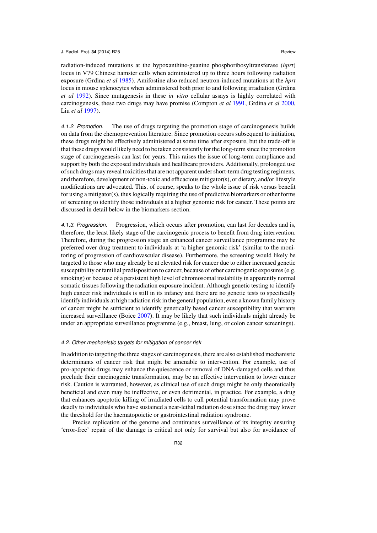radiation-induced mutations at the hypoxanthine-guanine phosphoribosyltransferase (*hprt*) locus in V79 Chinese hamster cells when administered up to three hours following radiation exposure (Grdina *et al* [1985\)](#page-23-4). Amifostine also reduced neutron-induced mutations at the *hprt* locus in mouse splenocytes when administered both prior to and following irradiation (Grdina *et al* [1992\)](#page-23-5). Since mutagenesis in these *in vitro* cellular assays is highly correlated with carcinogenesis, these two drugs may have promise (Compton *et al* [1991,](#page-22-8) Grdina *et al* [2000,](#page-23-6) Liu *et al* [1997\)](#page-25-6).

*4.1.2. Promotion.* The use of drugs targeting the promotion stage of carcinogenesis builds on data from the chemoprevention literature. Since promotion occurs subsequent to initiation, these drugs might be effectively administered at some time after exposure, but the trade-off is that these drugs would likely need to be taken consistently for the long-term since the promotion stage of carcinogenesis can last for years. This raises the issue of long-term compliance and support by both the exposed individuals and healthcare providers. Additionally, prolonged use of such drugs may reveal toxicities that are not apparent under short-term drug testing regimens, and therefore, development of non-toxic and efficacious mitigator(s), or dietary, and/or lifestyle modifications are advocated. This, of course, speaks to the whole issue of risk versus benefit for using a mitigator(s), thus logically requiring the use of predictive biomarkers or other forms of screening to identify those individuals at a higher genomic risk for cancer. These points are discussed in detail below in the biomarkers section.

*4.1.3. Progression.* Progression, which occurs after promotion, can last for decades and is, therefore, the least likely stage of the carcinogenic process to benefit from drug intervention. Therefore, during the progression stage an enhanced cancer surveillance programme may be preferred over drug treatment to individuals at 'a higher genomic risk' (similar to the monitoring of progression of cardiovascular disease). Furthermore, the screening would likely be targeted to those who may already be at elevated risk for cancer due to either increased genetic susceptibility or familial predisposition to cancer, because of other carcinogenic exposures (e.g. smoking) or because of a persistent high level of chromosomal instability in apparently normal somatic tissues following the radiation exposure incident. Although genetic testing to identify high cancer risk individuals is still in its infancy and there are no genetic tests to specifically identify individuals at high radiation risk in the general population, even a known family history of cancer might be sufficient to identify genetically based cancer susceptibility that warrants increased surveillance (Boice [2007\)](#page-21-1). It may be likely that such individuals might already be under an appropriate surveillance programme (e.g., breast, lung, or colon cancer screenings).

#### *4.2. Other mechanistic targets for mitigation of cancer risk*

In addition to targeting the three stages of carcinogenesis, there are also established mechanistic determinants of cancer risk that might be amenable to intervention. For example, use of pro-apoptotic drugs may enhance the quiescence or removal of DNA-damaged cells and thus preclude their carcinogenic transformation, may be an effective intervention to lower cancer risk. Caution is warranted, however, as clinical use of such drugs might be only theoretically beneficial and even may be ineffective, or even detrimental, in practice. For example, a drug that enhances apoptotic killing of irradiated cells to cull potential transformation may prove deadly to individuals who have sustained a near-lethal radiation dose since the drug may lower the threshold for the haematopoietic or gastrointestinal radiation syndrome.

Precise replication of the genome and continuous surveillance of its integrity ensuring 'error-free' repair of the damage is critical not only for survival but also for avoidance of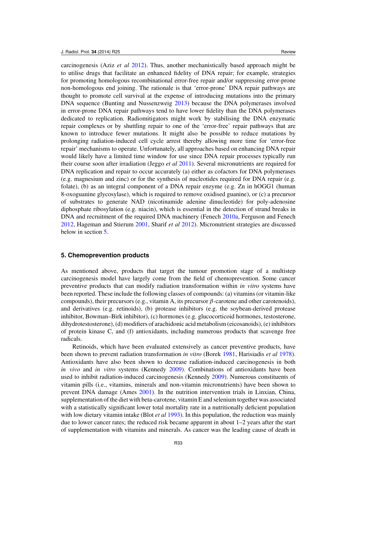carcinogenesis (Aziz *et al* [2012\)](#page-21-2). Thus, another mechanistically based approach might be to utilise drugs that facilitate an enhanced fidelity of DNA repair; for example, strategies for promoting homologous recombinational error-free repair and/or suppressing error-prone non-homologous end joining. The rationale is that 'error-prone' DNA repair pathways are thought to promote cell survival at the expense of introducing mutations into the primary DNA sequence (Bunting and Nussenzweig [2013\)](#page-22-9) because the DNA polymerases involved in error-prone DNA repair pathways tend to have lower fidelity than the DNA polymerases dedicated to replication. Radiomitigators might work by stabilising the DNA enzymatic repair complexes or by shuttling repair to one of the 'error-free' repair pathways that are known to introduce fewer mutations. It might also be possible to reduce mutations by prolonging radiation-induced cell cycle arrest thereby allowing more time for 'error-free repair' mechanisms to operate. Unfortunately, all approaches based on enhancing DNA repair would likely have a limited time window for use since DNA repair processes typically run their course soon after irradiation (Jeggo *et al* [2011\)](#page-24-4). Several micronutrients are required for DNA replication and repair to occur accurately (a) either as cofactors for DNA polymerases (e.g. magnesium and zinc) or for the synthesis of nucleotides required for DNA repair (e.g. folate), (b) as an integral component of a DNA repair enzyme (e.g. Zn in hOGG1 (human 8-oxoguanine glycosylase), which is required to remove oxidised guanine), or (c) a precursor of substrates to generate NAD (nicotinamide adenine dinucleotide) for poly-adenosine diphosphate ribosylation (e.g. niacin), which is essential in the detection of strand breaks in DNA and recruitment of the required DNA machinery (Fenech [2010a,](#page-23-7) Ferguson and Fenech [2012,](#page-23-8) Hageman and Stierum [2001,](#page-24-5) Sharif *et al* [2012\)](#page-27-5). Micronutrient strategies are discussed below in section [5.](#page-9-0)

#### <span id="page-9-0"></span>**5. Chemoprevention products**

As mentioned above, products that target the tumour promotion stage of a multistep carcinogenesis model have largely come from the field of chemoprevention. Some cancer preventive products that can modify radiation transformation within *in vitro* systems have been reported. These include the following classes of compounds: (a) vitamins (or vitamin-like compounds), their precursors (e.g., vitamin A, its precursor  $\beta$ -carotene and other carotenoids), and derivatives (e.g. retinoids), (b) protease inhibitors (e.g. the soybean-derived protease inhibitor, Bowman–Birk inhibitor), (c) hormones (e.g. glucocorticoid hormones, testosterone, dihydrotestosterone), (d) modifiers of arachidonic acid metabolism (eicosanoids), (e) inhibitors of protein kinase C, and (f) antioxidants, including numerous products that scavenge free radicals.

Retinoids, which have been evaluated extensively as cancer preventive products, have been shown to prevent radiation transformation *in vitro* (Borek [1981,](#page-21-3) Harisiadis *et al* [1978\)](#page-24-6). Antioxidants have also been shown to decrease radiation-induced carcinogenesis in both *in vivo* and *in vitro* systems (Kennedy [2009\)](#page-24-3). Combinations of antioxidants have been used to inhibit radiation-induced carcinogenesis (Kennedy [2009\)](#page-24-3). Numerous constituents of vitamin pills (i.e., vitamins, minerals and non-vitamin micronutrients) have been shown to prevent DNA damage (Ames [2001\)](#page-21-4). In the nutrition intervention trials in Linxian, China, supplementation of the diet with beta-carotene, vitamin E and selenium together was associated with a statistically significant lower total mortality rate in a nutritionally deficient population with low dietary vitamin intake (Blot *et al* [1993\)](#page-21-5). In this population, the reduction was mainly due to lower cancer rates; the reduced risk became apparent in about 1–2 years after the start of supplementation with vitamins and minerals. As cancer was the leading cause of death in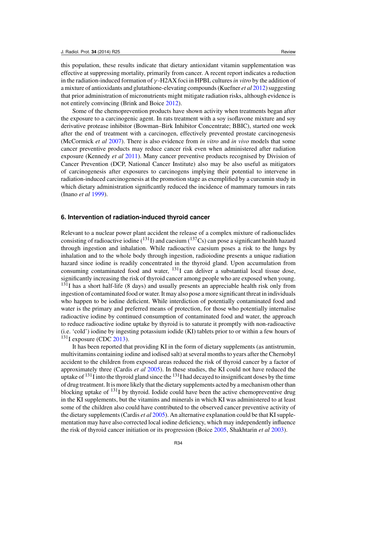this population, these results indicate that dietary antioxidant vitamin supplementation was effective at suppressing mortality, primarily from cancer. A recent report indicates a reduction in the radiation-induced formation of γ -H2AX foci in HPBL cultures*in vitro* by the addition of a mixture of antioxidants and glutathione-elevating compounds (Kuefner *et al* [2012\)](#page-25-2) suggesting that prior administration of micronutrients might mitigate radiation risks, although evidence is not entirely convincing (Brink and Boice [2012\)](#page-22-4).

Some of the chemoprevention products have shown activity when treatments began after the exposure to a carcinogenic agent. In rats treatment with a soy isoflavone mixture and soy derivative protease inhibitor (Bowman–Birk Inhibitor Concentrate; BBIC), started one week after the end of treatment with a carcinogen, effectively prevented prostate carcinogenesis (McCormick *et al* [2007\)](#page-25-7). There is also evidence from *in vitro* and *in vivo* models that some cancer preventive products may reduce cancer risk even when administered after radiation exposure (Kennedy *et al* [2011\)](#page-25-8). Many cancer preventive products recognised by Division of Cancer Prevention (DCP, National Cancer Institute) also may be also useful as mitigators of carcinogenesis after exposures to carcinogens implying their potential to intervene in radiation-induced carcinogenesis at the promotion stage as exemplified by a curcumin study in which dietary administration significantly reduced the incidence of mammary tumours in rats (Inano *et al* [1999\)](#page-24-7).

## **6. Intervention of radiation-induced thyroid cancer**

Relevant to a nuclear power plant accident the release of a complex mixture of radionuclides consisting of radioactive iodine  $(^{131}I)$  and caesium  $(^{137}Cs)$  can pose a significant health hazard through ingestion and inhalation. While radioactive caesium poses a risk to the lungs by inhalation and to the whole body through ingestion, radioiodine presents a unique radiation hazard since iodine is readily concentrated in the thyroid gland. Upon accumulation from consuming contaminated food and water, <sup>131</sup>I can deliver a substantial local tissue dose, significantly increasing the risk of thyroid cancer among people who are exposed when young.  $13\overline{1}$  has a short half-life (8 days) and usually presents an appreciable health risk only from ingestion of contaminated food or water. It may also pose a more significant threat in individuals who happen to be iodine deficient. While interdiction of potentially contaminated food and water is the primary and preferred means of protection, for those who potentially internalise radioactive iodine by continued consumption of contaminated food and water, the approach to reduce radioactive iodine uptake by thyroid is to saturate it promptly with non-radioactive (i.e. 'cold') iodine by ingesting potassium iodide (KI) tablets prior to or within a few hours of  $131$ I exposure (CDC [2013\)](#page-22-10).

It has been reported that providing KI in the form of dietary supplements (as antistrumin, multivitamins containing iodine and iodised salt) at several months to years after the Chernobyl accident to the children from exposed areas reduced the risk of thyroid cancer by a factor of approximately three (Cardis *et al* [2005\)](#page-22-11). In these studies, the KI could not have reduced the uptake of  $131$  into the thyroid gland since the  $131$  had decayed to insignificant doses by the time of drug treatment. It is more likely that the dietary supplements acted by a mechanism other than blocking uptake of  $^{131}$ I by thyroid. Iodide could have been the active chemopreventive drug in the KI supplements, but the vitamins and minerals in which KI was administered to at least some of the children also could have contributed to the observed cancer preventive activity of the dietary supplements (Cardis *et al* [2005\)](#page-22-11). An alternative explanation could be that KI supplementation may have also corrected local iodine deficiency, which may independently influence the risk of thyroid cancer initiation or its progression (Boice [2005,](#page-21-6) Shakhtarin *et al* [2003\)](#page-26-4).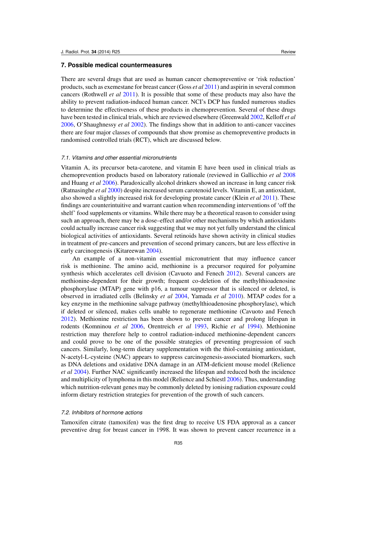There are several drugs that are used as human cancer chemopreventive or 'risk reduction' products, such as exemestane for breast cancer (Goss *et al* [2011\)](#page-23-9) and aspirin in several common cancers (Rothwell *et al* [2011\)](#page-26-5). It is possible that some of these products may also have the ability to prevent radiation-induced human cancer. NCI's DCP has funded numerous studies to determine the effectiveness of these products in chemoprevention. Several of these drugs have been tested in clinical trials, which are reviewed elsewhere (Greenwald [2002,](#page-24-8) Kelloff *et al* [2006,](#page-24-9) O'Shaughnessy *et al* [2002\)](#page-26-6). The findings show that in addition to anti-cancer vaccines there are four major classes of compounds that show promise as chemopreventive products in randomised controlled trials (RCT), which are discussed below.

#### *7.1. Vitamins and other essential micronutrients*

Vitamin A, its precursor beta-carotene, and vitamin E have been used in clinical trials as chemoprevention products based on laboratory rationale (reviewed in Gallicchio *et al* [2008](#page-23-10) and Huang *et al* [2006\)](#page-24-10). Paradoxically alcohol drinkers showed an increase in lung cancer risk (Ratnasinghe *et al* [2000\)](#page-26-7) despite increased serum carotenoid levels. Vitamin E, an antioxidant, also showed a slightly increased risk for developing prostate cancer (Klein *et al* [2011\)](#page-25-9). These findings are counterintuitive and warrant caution when recommending interventions of 'off the shelf' food supplements or vitamins. While there may be a theoretical reason to consider using such an approach, there may be a dose–effect and/or other mechanisms by which antioxidants could actually increase cancer risk suggesting that we may not yet fully understand the clinical biological activities of antioxidants. Several retinoids have shown activity in clinical studies in treatment of pre-cancers and prevention of second primary cancers, but are less effective in early carcinogenesis (Kitareewan [2004\)](#page-25-10).

An example of a non-vitamin essential micronutrient that may influence cancer risk is methionine. The amino acid, methionine is a precursor required for polyamine synthesis which accelerates cell division (Cavuoto and Fenech [2012\)](#page-22-12). Several cancers are methionine-dependent for their growth; frequent co-deletion of the methylthioadenosine phosphorylase (MTAP) gene with p16, a tumour suppressor that is silenced or deleted, is observed in irradiated cells (Belinsky *et al* [2004,](#page-21-7) Yamada *et al* [2010\)](#page-27-6). MTAP codes for a key enzyme in the methionine salvage pathway (methylthioadenosine phosphorylase), which if deleted or silenced, makes cells unable to regenerate methionine (Cavuoto and Fenech [2012\)](#page-22-12). Methionine restriction has been shown to prevent cancer and prolong lifespan in rodents (Komninou *et al* [2006,](#page-25-11) Orentreich *et al* [1993,](#page-26-8) Richie *et al* [1994\)](#page-26-9). Methionine restriction may therefore help to control radiation-induced methionine-dependent cancers and could prove to be one of the possible strategies of preventing progression of such cancers. Similarly, long-term dietary supplementation with the thiol-containing antioxidant, N-acetyl-L-cysteine (NAC) appears to suppress carcinogenesis-associated biomarkers, such as DNA deletions and oxidative DNA damage in an ATM-deficient mouse model (Relience *et al* [2004\)](#page-26-10). Further NAC significantly increased the lifespan and reduced both the incidence and multiplicity of lymphoma in this model (Relience and Schiestl [2006\)](#page-26-11). Thus, understanding which nutrition-relevant genes may be commonly deleted by ionising radiation exposure could inform dietary restriction strategies for prevention of the growth of such cancers.

## *7.2. Inhibitors of hormone actions*

Tamoxifen citrate (tamoxifen) was the first drug to receive US FDA approval as a cancer preventive drug for breast cancer in 1998. It was shown to prevent cancer recurrence in a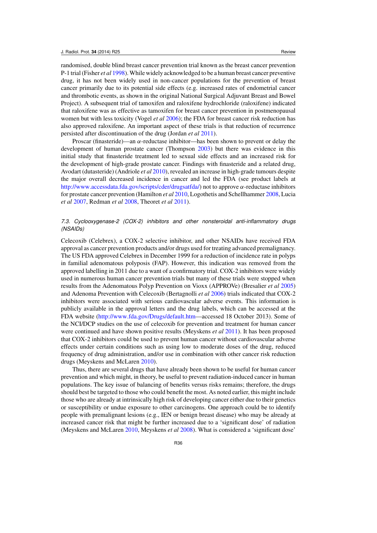randomised, double blind breast cancer prevention trial known as the breast cancer prevention P-1 trial (Fisher *et al* [1998\)](#page-23-11).While widely acknowledged to be a human breast cancer preventive drug, it has not been widely used in non-cancer populations for the prevention of breast cancer primarily due to its potential side effects (e.g. increased rates of endometrial cancer and thrombotic events, as shown in the original National Surgical Adjuvant Breast and Bowel Project). A subsequent trial of tamoxifen and raloxifene hydrochloride (raloxifene) indicated that raloxifene was as effective as tamoxifen for breast cancer prevention in postmenopausal women but with less toxicity (Vogel *et al* [2006\)](#page-27-7); the FDA for breast cancer risk reduction has also approved raloxifene. An important aspect of these trials is that reduction of recurrence persisted after discontinuation of the drug (Jordan *et al* [2011\)](#page-24-11).

Proscar (finasteride)—an  $\alpha$ -reductase inhibitor—has been shown to prevent or delay the development of human prostate cancer (Thompson [2003\)](#page-27-8) but there was evidence in this initial study that finasteride treatment led to sexual side effects and an increased risk for the development of high-grade prostate cancer. Findings with finasteride and a related drug, Avodart (dutasteride) (Andriole *et al* [2010\)](#page-21-8), revealed an increase in high-grade tumours despite the major overall decreased incidence in cancer and led the FDA (see product labels at [http://www.accessdata.fda.gov/scripts/cder/drugsatfda/\)](http://www.accessdata.fda.gov/scripts/cder/drugsatfda/) not to approve α-reductase inhibitors for prostate cancer prevention (Hamilton *et al* [2010,](#page-24-12) Logothetis and Schellhammer [2008,](#page-25-12) Lucia *et al* [2007,](#page-25-13) Redman *et al* [2008,](#page-26-12) Theoret *et al* [2011\)](#page-27-9).

# *7.3. Cyclooxygenase-2 (COX-2) inhibitors and other nonsteroidal anti-inflammatory drugs (NSAIDs)*

Celecoxib (Celebrex), a COX-2 selective inhibitor, and other NSAIDs have received FDA approval as cancer prevention products and/or drugs used for treating advanced premalignancy. The US FDA approved Celebrex in December 1999 for a reduction of incidence rate in polyps in familial adenomatous polyposis (FAP). However, this indication was removed from the approved labelling in 2011 due to a want of a confirmatory trial. COX-2 inhibitors were widely used in numerous human cancer prevention trials but many of these trials were stopped when results from the Adenomatous Polyp Prevention on Vioxx (APPROVe) (Bresalier *et al* [2005\)](#page-21-9) and Adenoma Prevention with Celecoxib (Bertagnolli *et al* [2006\)](#page-21-10) trials indicated that COX-2 inhibitors were associated with serious cardiovascular adverse events. This information is publicly available in the approval letters and the drug labels, which can be accessed at the FDA website [\(http://www.fda.gov/Drugs/default.htm—](http://www.fda.gov/Drugs/default.htm)accessed 18 October 2013). Some of the NCI/DCP studies on the use of celecoxib for prevention and treatment for human cancer were continued and have shown positive results (Meyskens *et al* [2011\)](#page-25-14). It has been proposed that COX-2 inhibitors could be used to prevent human cancer without cardiovascular adverse effects under certain conditions such as using low to moderate doses of the drug, reduced frequency of drug administration, and/or use in combination with other cancer risk reduction drugs (Meyskens and McLaren [2010\)](#page-25-15).

Thus, there are several drugs that have already been shown to be useful for human cancer prevention and which might, in theory, be useful to prevent radiation-induced cancer in human populations. The key issue of balancing of benefits versus risks remains; therefore, the drugs should best be targeted to those who could benefit the most. As noted earlier, this might include those who are already at intrinsically high risk of developing cancer either due to their genetics or susceptibility or undue exposure to other carcinogens. One approach could be to identify people with premalignant lesions (e.g., IEN or benign breast disease) who may be already at increased cancer risk that might be further increased due to a 'significant dose' of radiation (Meyskens and McLaren [2010,](#page-25-15) Meyskens *et al* [2008\)](#page-25-16). What is considered a 'significant dose'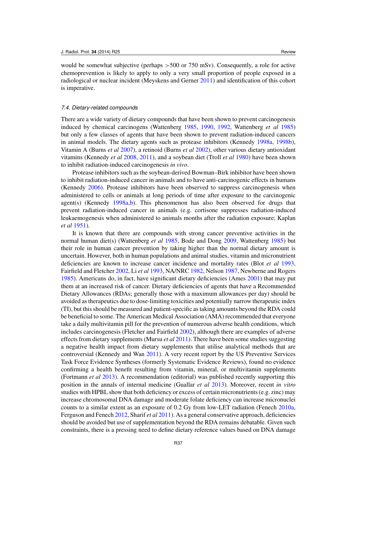would be somewhat subjective (perhaps >500 or 750 mSv). Consequently, a role for active chemoprevention is likely to apply to only a very small proportion of people exposed in a radiological or nuclear incident (Meyskens and Gerner [2011\)](#page-25-17) and identification of this cohort is imperative.

#### *7.4. Dietary-related compounds*

There are a wide variety of dietary compounds that have been shown to prevent carcinogenesis induced by chemical carcinogens (Wattenberg [1985,](#page-27-10) [1990,](#page-27-11) [1992,](#page-27-12) Wattenberg *et al* [1985\)](#page-27-13) but only a few classes of agents that have been shown to prevent radiation-induced cancers in animal models. The dietary agents such as protease inhibitors (Kennedy [1998a,](#page-24-13) [1998b\)](#page-24-14), Vitamin A (Burns *et al* [2007\)](#page-22-13), a retinoid (Burns *et al* [2002\)](#page-22-14), other various dietary antioxidant vitamins (Kennedy *et al* [2008,](#page-25-18) [2011\)](#page-25-8), and a soybean diet (Troll *et al* [1980\)](#page-27-14) have been shown to inhibit radiation-induced carcinogenesis *in vivo*.

Protease inhibitors such as the soybean-derived Bowman–Birk inhibitor have been shown to inhibit radiation-induced cancer in animals and to have anti-carcinogenic effects in humans (Kennedy [2006\)](#page-24-15). Protease inhibitors have been observed to suppress carcinogenesis when administered to cells or animals at long periods of time after exposure to the carcinogenic agent(s) (Kennedy [1998a,](#page-24-13)[b\)](#page-24-14). This phenomenon has also been observed for drugs that prevent radiation-induced cancer in animals (e.g. cortisone suppresses radiation-induced leukaemogenesis when administered to animals months after the radiation exposure; Kaplan *et al* [1951\)](#page-24-16).

It is known that there are compounds with strong cancer preventive activities in the normal human diet(s) (Wattenberg *et al* [1985,](#page-27-13) Bode and Dong [2009,](#page-21-11) Wattenberg [1985\)](#page-27-10) but their role in human cancer prevention by taking higher than the normal dietary amount is uncertain. However, both in human populations and animal studies, vitamin and micronutrient deficiencies are known to increase cancer incidence and mortality rates (Blot *et al* [1993,](#page-21-5) Fairfield and Fletcher [2002,](#page-22-15) Li *et al* [1993,](#page-25-19) NA/NRC [1982,](#page-26-13) Nelson [1987,](#page-26-14) Newberne and Rogers [1985\)](#page-26-15). Americans do, in fact, have significant dietary deficiencies (Ames [2001\)](#page-21-4) that may put them at an increased risk of cancer. Dietary deficiencies of agents that have a Recommended Dietary Allowances (RDAs; generally those with a maximum allowances per day) should be avoided as therapeutics due to dose-limiting toxicities and potentially narrow therapeutic index (TI), but this should be measured and patient-specific as taking amounts beyond the RDA could be beneficial to some. The American Medical Association (AMA) recommended that everyone take a daily multivitamin pill for the prevention of numerous adverse health conditions, which includes carcinogenesis (Fletcher and Fairfield [2002\)](#page-23-12), although there are examples of adverse effects from dietary supplements (Mursu *et al* [2011\)](#page-26-16). There have been some studies suggesting a negative health impact from dietary supplements that utilise analytical methods that are controversial (Kennedy and Wan [2011\)](#page-25-20). A very recent report by the US Preventive Services Task Force Evidence Syntheses (formerly Systematic Evidence Reviews), found no evidence confirming a health benefit resulting from vitamin, mineral, or multivitamin supplements (Fortmann *et al* [2013\)](#page-23-13). A recommendation (editorial) was published recently supporting this position in the annals of internal medicine (Guallar *et al* [2013\)](#page-24-17). Moreover, recent *in vitro* studies with HPBL show that both deficiency or excess of certain micronutrients (e.g. zinc) may increase chromosomal DNA damage and moderate folate deficiency can increase micronuclei counts to a similar extent as an exposure of 0.2 Gy from low-LET radiation (Fenech [2010a,](#page-23-7) Ferguson and Fenech [2012,](#page-23-8) Sharif *et al* [2011\)](#page-27-15). As a general conservative approach, deficiencies should be avoided but use of supplementation beyond the RDA remains debatable. Given such constraints, there is a pressing need to define dietary reference values based on DNA damage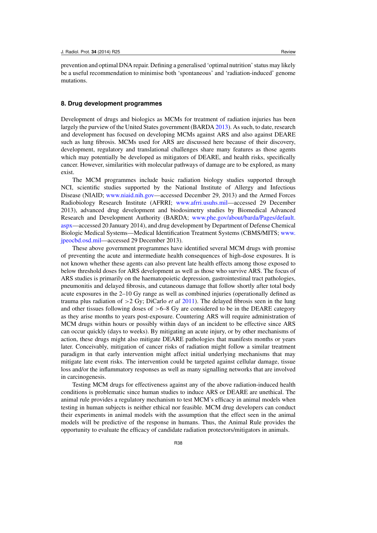prevention and optimal DNA repair. Defining a generalised 'optimal nutrition' status may likely be a useful recommendation to minimise both 'spontaneous' and 'radiation-induced' genome mutations.

#### **8. Drug development programmes**

Development of drugs and biologics as MCMs for treatment of radiation injuries has been largely the purview of the United States government (BARDA [2013\)](#page-21-12). As such, to date, research and development has focused on developing MCMs against ARS and also against DEARE such as lung fibrosis. MCMs used for ARS are discussed here because of their discovery, development, regulatory and translational challenges share many features as those agents which may potentially be developed as mitigators of DEARE, and health risks, specifically cancer. However, similarities with molecular pathways of damage are to be explored, as many exist.

The MCM programmes include basic radiation biology studies supported through NCI, scientific studies supported by the National Institute of Allergy and Infectious Disease (NIAID; [www.niaid.nih.gov—](www.niaid.nih.gov)accessed December 29, 2013) and the Armed Forces Radiobiology Research Institute (AFRRI; [www.afrri.usuhs.mil—](www.afrri.usuhs.mil)accessed 29 December 2013), advanced drug development and biodosimetry studies by Biomedical Advanced Research and Development Authority (BARDA; [www.phe.gov/about/barda/Pages/default.](www.phe.gov/about/barda/Pages/default.aspx) [aspx—](www.phe.gov/about/barda/Pages/default.aspx)accessed 20 January 2014), and drug development by Department of Defense Chemical Biologic Medical Systems—Medical Identification Treatment Systems (CBMS/MITS; [www.](www.jpeocbd.osd.mil) [jpeocbd.osd.mil—](www.jpeocbd.osd.mil)accessed 29 December 2013).

These above government programmes have identified several MCM drugs with promise of preventing the acute and intermediate health consequences of high-dose exposures. It is not known whether these agents can also prevent late health effects among those exposed to below threshold doses for ARS development as well as those who survive ARS. The focus of ARS studies is primarily on the haematopoietic depression, gastrointestinal tract pathologies, pneumonitis and delayed fibrosis, and cutaneous damage that follow shortly after total body acute exposures in the 2–10 Gy range as well as combined injuries (operationally defined as trauma plus radiation of >2 Gy; DiCarlo *et al* [2011\)](#page-22-1). The delayed fibrosis seen in the lung and other tissues following doses of  $>6-8$  Gy are considered to be in the DEARE category as they arise months to years post-exposure. Countering ARS will require administration of MCM drugs within hours or possibly within days of an incident to be effective since ARS can occur quickly (days to weeks). By mitigating an acute injury, or by other mechanisms of action, these drugs might also mitigate DEARE pathologies that manifests months or years later. Conceivably, mitigation of cancer risks of radiation might follow a similar treatment paradigm in that early intervention might affect initial underlying mechanisms that may mitigate late event risks. The intervention could be targeted against cellular damage, tissue loss and/or the inflammatory responses as well as many signalling networks that are involved in carcinogenesis.

Testing MCM drugs for effectiveness against any of the above radiation-induced health conditions is problematic since human studies to induce ARS or DEARE are unethical. The animal rule provides a regulatory mechanism to test MCM's efficacy in animal models when testing in human subjects is neither ethical nor feasible. MCM drug developers can conduct their experiments in animal models with the assumption that the effect seen in the animal models will be predictive of the response in humans. Thus, the Animal Rule provides the opportunity to evaluate the efficacy of candidate radiation protectors/mitigators in animals.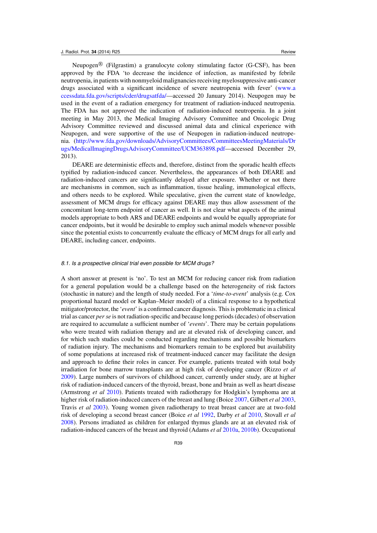Neupogen<sup>®</sup> (Filgrastim) a granulocyte colony stimulating factor (G-CSF), has been approved by the FDA 'to decrease the incidence of infection, as manifested by febrile neutropenia, in patients with nonmyeloid malignancies receiving myelosuppressive anti-cancer drugs associated with a significant incidence of severe neutropenia with fever' [\(www.a](#page-0-0) [ccessdata.fda.gov/scripts/cder/drugsatfda/—](#page-0-0)accessed 20 January 2014). Neupogen may be used in the event of a radiation emergency for treatment of radiation-induced neutropenia. The FDA has not approved the indication of radiation-induced neutropenia. In a joint meeting in May 2013, the Medical Imaging Advisory Committee and Oncologic Drug Advisory Committee reviewed and discussed animal data and clinical experience with Neupogen, and were supportive of the use of Neupogen in radiation-induced neutropenia. [\(http://www.fda.gov/downloads/AdvisoryCommittees/CommitteesMeetingMaterials/Dr](http://www.fda.gov/downloads/AdvisoryCommittees/CommitteesMeetingMaterials/Drugs/MedicalImagingDrugsAdvisoryCommittee/UCM363898.pdf) [ugs/MedicalImagingDrugsAdvisoryCommittee/UCM363898.pdf—](http://www.fda.gov/downloads/AdvisoryCommittees/CommitteesMeetingMaterials/Drugs/MedicalImagingDrugsAdvisoryCommittee/UCM363898.pdf)accessed December 29, 2013).

DEARE are deterministic effects and, therefore, distinct from the sporadic health effects typified by radiation-induced cancer. Nevertheless, the appearances of both DEARE and radiation-induced cancers are significantly delayed after exposure. Whether or not there are mechanisms in common, such as inflammation, tissue healing, immunological effects, and others needs to be explored. While speculative, given the current state of knowledge, assessment of MCM drugs for efficacy against DEARE may thus allow assessment of the concomitant long-term endpoint of cancer as well. It is not clear what aspects of the animal models appropriate to both ARS and DEARE endpoints and would be equally appropriate for cancer endpoints, but it would be desirable to employ such animal models whenever possible since the potential exists to concurrently evaluate the efficacy of MCM drugs for all early and DEARE, including cancer, endpoints.

#### *8.1. Is a prospective clinical trial even possible for MCM drugs?*

A short answer at present is 'no'. To test an MCM for reducing cancer risk from radiation for a general population would be a challenge based on the heterogeneity of risk factors (stochastic in nature) and the length of study needed. For a '*time-to-event*' analysis (e.g. Cox proportional hazard model or Kaplan–Meier model) of a clinical response to a hypothetical mitigator/protector, the '*event*' is a confirmed cancer diagnosis. This is problematic in a clinical trial as cancer *per se* is not radiation-specific and because long periods (decades) of observation are required to accumulate a sufficient number of '*events*'. There may be certain populations who were treated with radiation therapy and are at elevated risk of developing cancer, and for which such studies could be conducted regarding mechanisms and possible biomarkers of radiation injury. The mechanisms and biomarkers remain to be explored but availability of some populations at increased risk of treatment-induced cancer may facilitate the design and approach to define their roles in cancer. For example, patients treated with total body irradiation for bone marrow transplants are at high risk of developing cancer (Rizzo *et al* [2009\)](#page-26-17). Large numbers of survivors of childhood cancer, currently under study, are at higher risk of radiation-induced cancers of the thyroid, breast, bone and brain as well as heart disease (Armstrong *et al* [2010\)](#page-21-13). Patients treated with radiotherapy for Hodgkin's lymphoma are at higher risk of radiation-induced cancers of the breast and lung (Boice [2007,](#page-21-1) Gilbert *et al* [2003,](#page-23-14) Travis *et al* [2003\)](#page-27-16). Young women given radiotherapy to treat breast cancer are at two-fold risk of developing a second breast cancer (Boice *et al* [1992,](#page-21-14) Darby *et al* [2010,](#page-22-16) Stovall *et al* [2008\)](#page-27-17). Persons irradiated as children for enlarged thymus glands are at an elevated risk of radiation-induced cancers of the breast and thyroid (Adams *et al* [2010a,](#page-21-15) [2010b\)](#page-21-16). Occupational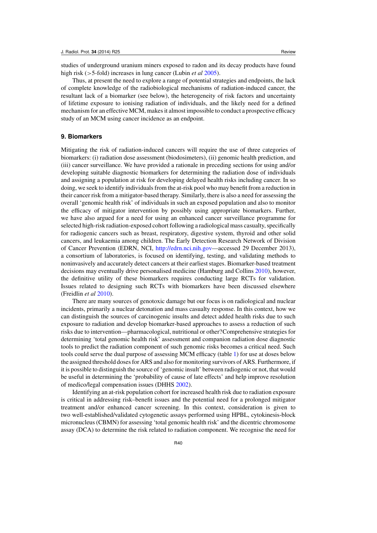studies of underground uranium miners exposed to radon and its decay products have found high risk (>5-fold) increases in lung cancer (Lubin *et al* [2005\)](#page-25-21).

Thus, at present the need to explore a range of potential strategies and endpoints, the lack of complete knowledge of the radiobiological mechanisms of radiation-induced cancer, the resultant lack of a biomarker (see below), the heterogeneity of risk factors and uncertainty of lifetime exposure to ionising radiation of individuals, and the likely need for a defined mechanism for an effective MCM, makes it almost impossible to conduct a prospective efficacy study of an MCM using cancer incidence as an endpoint.

# **9. Biomarkers**

Mitigating the risk of radiation-induced cancers will require the use of three categories of biomarkers: (i) radiation dose assessment (biodosimeters), (ii) genomic health prediction, and (iii) cancer surveillance. We have provided a rationale in preceding sections for using and/or developing suitable diagnostic biomarkers for determining the radiation dose of individuals and assigning a population at risk for developing delayed health risks including cancer. In so doing, we seek to identify individuals from the at-risk pool who may benefit from a reduction in their cancer risk from a mitigator-based therapy. Similarly, there is also a need for assessing the overall 'genomic health risk' of individuals in such an exposed population and also to monitor the efficacy of mitigator intervention by possibly using appropriate biomarkers. Further, we have also argued for a need for using an enhanced cancer surveillance programme for selected high-risk radiation-exposed cohort following a radiological mass casualty, specifically for radiogenic cancers such as breast, respiratory, digestive system, thyroid and other solid cancers, and leukaemia among children. The Early Detection Research Network of Division of Cancer Prevention (EDRN, NCI, [http://edrn.nci.nih.gov—](http://edrn.nci.nih.gov)accessed 29 December 2013), a consortium of laboratories, is focused on identifying, testing, and validating methods to noninvasively and accurately detect cancers at their earliest stages. Biomarker-based treatment decisions may eventually drive personalised medicine (Hamburg and Collins [2010\)](#page-24-18), however, the definitive utility of these biomarkers requires conducting large RCTs for validation. Issues related to designing such RCTs with biomarkers have been discussed elsewhere (Freidlin *et al* [2010\)](#page-23-15).

There are many sources of genotoxic damage but our focus is on radiological and nuclear incidents, primarily a nuclear detonation and mass casualty response. In this context, how we can distinguish the sources of carcinogenic insults and detect added health risks due to such exposure to radiation and develop biomarker-based approaches to assess a reduction of such risks due to intervention—pharmacological, nutritional or other?Comprehensive strategies for determining 'total genomic health risk' assessment and companion radiation dose diagnostic tools to predict the radiation component of such genomic risks becomes a critical need. Such tools could serve the dual purpose of assessing MCM efficacy (table [1\)](#page-4-0) for use at doses below the assigned threshold doses for ARS and also for monitoring survivors of ARS. Furthermore, if it is possible to distinguish the source of 'genomic insult' between radiogenic or not, that would be useful in determining the 'probability of cause of late effects' and help improve resolution of medico/legal compensation issues (DHHS [2002\)](#page-22-0).

Identifying an at-risk population cohort for increased health risk due to radiation exposure is critical in addressing risk–benefit issues and the potential need for a prolonged mitigator treatment and/or enhanced cancer screening. In this context, consideration is given to two well-established/validated cytogenetic assays performed using HPBL, cytokinesis-block micronucleus (CBMN) for assessing 'total genomic health risk' and the dicentric chromosome assay (DCA) to determine the risk related to radiation component. We recognise the need for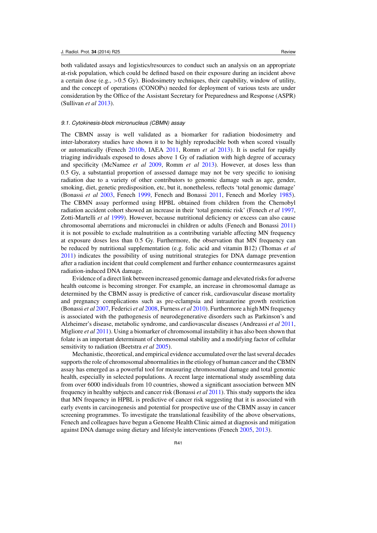both validated assays and logistics/resources to conduct such an analysis on an appropriate at-risk population, which could be defined based on their exposure during an incident above a certain dose (e.g., >0.5 Gy). Biodosimetry techniques, their capability, window of utility, and the concept of operations (CONOPs) needed for deployment of various tests are under consideration by the Office of the Assistant Secretary for Preparedness and Response (ASPR) (Sullivan *et al* [2013\)](#page-27-18).

#### *9.1. Cytokinesis-block micronucleus (CBMN) assay*

The CBMN assay is well validated as a biomarker for radiation biodosimetry and inter-laboratory studies have shown it to be highly reproducible both when scored visually or automatically (Fenech [2010b,](#page-23-16) IAEA [2011,](#page-24-19) Romm *et al* [2013\)](#page-26-18). It is useful for rapidly triaging individuals exposed to doses above 1 Gy of radiation with high degree of accuracy and specificity (McNamee *et al* [2009,](#page-25-22) Romm *et al* [2013\)](#page-26-18). However, at doses less than 0.5 Gy, a substantial proportion of assessed damage may not be very specific to ionising radiation due to a variety of other contributors to genomic damage such as age, gender, smoking, diet, genetic predisposition, etc, but it, nonetheless, reflects 'total genomic damage' (Bonassi *et al* [2003,](#page-21-17) Fenech [1999,](#page-22-17) Fenech and Bonassi [2011,](#page-23-17) Fenech and Morley [1985\)](#page-23-18). The CBMN assay performed using HPBL obtained from children from the Chernobyl radiation accident cohort showed an increase in their 'total genomic risk' (Fenech *et al* [1997,](#page-23-19) Zotti-Martelli *et al* [1999\)](#page-28-0). However, because nutritional deficiency or excess can also cause chromosomal aberrations and micronuclei in children or adults (Fenech and Bonassi [2011\)](#page-23-17) it is not possible to exclude malnutrition as a contributing variable affecting MN frequency at exposure doses less than 0.5 Gy. Furthermore, the observation that MN frequency can be reduced by nutritional supplementation (e.g. folic acid and vitamin B12) (Thomas *et al* [2011\)](#page-27-19) indicates the possibility of using nutritional strategies for DNA damage prevention after a radiation incident that could complement and further enhance countermeasures against radiation-induced DNA damage.

Evidence of a direct link between increased genomic damage and elevated risks for adverse health outcome is becoming stronger. For example, an increase in chromosomal damage as determined by the CBMN assay is predictive of cancer risk, cardiovascular disease mortality and pregnancy complications such as pre-eclampsia and intrauterine growth restriction (Bonassi *et al* [2007,](#page-21-18) Federici *et al* [2008,](#page-22-18) Furness *et al* [2010\)](#page-23-20). Furthermore a high MN frequency is associated with the pathogenesis of neurodegenerative disorders such as Parkinson's and Alzheimer's disease, metabolic syndrome, and cardiovascular diseases (Andreassi *et al* [2011,](#page-21-19) Migliore *et al* [2011\)](#page-25-23). Using a biomarker of chromosomal instability it has also been shown that folate is an important determinant of chromosomal stability and a modifying factor of cellular sensitivity to radiation (Beetstra *et al* [2005\)](#page-21-20).

Mechanistic, theoretical, and empirical evidence accumulated over the last several decades supports the role of chromosomal abnormalities in the etiology of human cancer and the CBMN assay has emerged as a powerful tool for measuring chromosomal damage and total genomic health, especially in selected populations. A recent large international study assembling data from over 6000 individuals from 10 countries, showed a significant association between MN frequency in healthy subjects and cancer risk (Bonassi *et al* [2011\)](#page-21-21). This study supports the idea that MN frequency in HPBL is predictive of cancer risk suggesting that it is associated with early events in carcinogenesis and potential for prospective use of the CBMN assay in cancer screening programmes. To investigate the translational feasibility of the above observations, Fenech and colleagues have begun a Genome Health Clinic aimed at diagnosis and mitigation against DNA damage using dietary and lifestyle interventions (Fenech [2005,](#page-22-19) [2013\)](#page-23-21).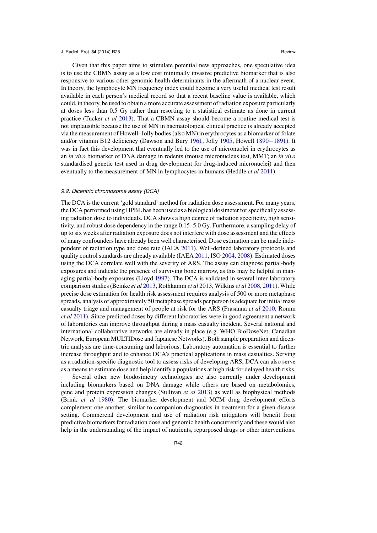Given that this paper aims to stimulate potential new approaches, one speculative idea is to use the CBMN assay as a low cost minimally invasive predictive biomarker that is also responsive to various other genomic health determinants in the aftermath of a nuclear event. In theory, the lymphocyte MN frequency index could become a very useful medical test result available in each person's medical record so that a recent baseline value is available, which could, in theory, be used to obtain a more accurate assessment of radiation exposure particularly at doses less than 0.5 Gy rather than resorting to a statistical estimate as done in current practice (Tucker *et al* [2013\)](#page-27-20). That a CBMN assay should become a routine medical test is not implausible because the use of MN in haematological clinical practice is already accepted via the measurement of Howell–Jolly bodies (also MN) in erythrocytes as a biomarker of folate and/or vitamin B12 deficiency (Dawson and Bury [1961,](#page-22-20) Jolly [1905,](#page-24-20) Howell 1890−[1891\)](#page-24-21). It was in fact this development that eventually led to the use of micronuclei in erythrocytes as an *in vivo* biomarker of DNA damage in rodents (mouse micronucleus test, MMT; an *in vivo* standardised genetic test used in drug development for drug-induced micronuclei) and then eventually to the measurement of MN in lymphocytes in humans (Heddle *et al* [2011\)](#page-24-22).

#### *9.2. Dicentric chromosome assay (DCA)*

The DCA is the current 'gold standard' method for radiation dose assessment. For many years, the DCA performed using HPBL has been used as a biological dosimeter for specifically assessing radiation dose to individuals. DCA shows a high degree of radiation specificity, high sensitivity, and robust dose dependency in the range 0.15–5.0 Gy. Furthermore, a sampling delay of up to six weeks after radiation exposure does not interfere with dose assessment and the effects of many confounders have already been well characterised. Dose estimation can be made independent of radiation type and dose rate (IAEA [2011\)](#page-24-19). Well-defined laboratory protocols and quality control standards are already available (IAEA [2011,](#page-24-19) ISO [2004,](#page-24-23) [2008\)](#page-24-24). Estimated doses using the DCA correlate well with the severity of ARS. The assay can diagnose partial-body exposures and indicate the presence of surviving bone marrow, as this may be helpful in managing partial-body exposures (Lloyd [1997\)](#page-25-24). The DCA is validated in several inter-laboratory comparison studies (Beinke *et al* [2013,](#page-21-22) Rothkamm *et al* [2013,](#page-26-19) Wilkins *et al* [2008,](#page-27-21) [2011\)](#page-27-22). While precise dose estimation for health risk assessment requires analysis of 500 or more metaphase spreads, analysis of approximately 50 metaphase spreads per person is adequate for initial mass casualty triage and management of people at risk for the ARS (Prasanna *et al* [2010,](#page-26-20) Romm *et al* [2011\)](#page-26-21). Since predicted doses by different laboratories were in good agreement a network of laboratories can improve throughput during a mass casualty incident. Several national and international collaborative networks are already in place (e.g. WHO BioDoseNet, Canadian Network, European MULTIDose and Japanese Networks). Both sample preparation and dicentric analysis are time-consuming and laborious. Laboratory automation is essential to further increase throughput and to enhance DCA's practical applications in mass casualties. Serving as a radiation-specific diagnostic tool to assess risks of developing ARS, DCA can also serve as a means to estimate dose and help identify a populations at high risk for delayed health risks.

Several other new biodosimetry technologies are also currently under development including biomarkers based on DNA damage while others are based on metabolomics, gene and protein expression changes (Sullivan *et al* [2013\)](#page-27-18) as well as biophysical methods (Brink *et al* [1980\)](#page-22-21). The biomarker development and MCM drug development efforts complement one another, similar to companion diagnostics in treatment for a given disease setting. Commercial development and use of radiation risk mitigators will benefit from predictive biomarkers for radiation dose and genomic health concurrently and these would also help in the understanding of the impact of nutrients, repurposed drugs or other interventions.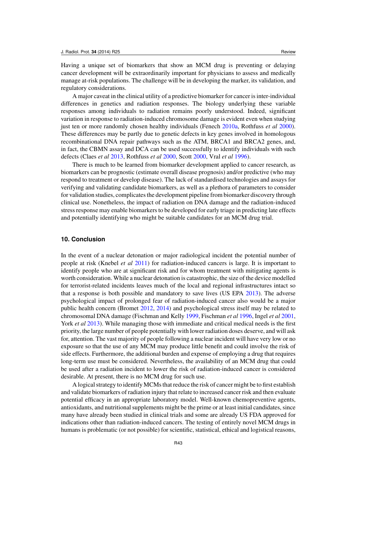cancer development will be extraordinarily important for physicians to assess and medically manage at-risk populations. The challenge will be in developing the marker, its validation, and regulatory considerations. A major caveat in the clinical utility of a predictive biomarker for cancer is inter-individual

differences in genetics and radiation responses. The biology underlying these variable responses among individuals to radiation remains poorly understood. Indeed, significant variation in response to radiation-induced chromosome damage is evident even when studying just ten or more randomly chosen healthy individuals (Fenech [2010a,](#page-23-7) Rothfuss *et al* [2000\)](#page-26-22). These differences may be partly due to genetic defects in key genes involved in homologous recombinational DNA repair pathways such as the ATM, BRCA1 and BRCA2 genes, and, in fact, the CBMN assay and DCA can be used successfully to identify individuals with such defects (Claes *et al* [2013,](#page-22-22) Rothfuss *et al* [2000,](#page-26-22) Scott [2000,](#page-26-23) Vral *et al* [1996\)](#page-27-23).

There is much to be learned from biomarker development applied to cancer research, as biomarkers can be prognostic (estimate overall disease prognosis) and/or predictive (who may respond to treatment or develop disease). The lack of standardised technologies and assays for verifying and validating candidate biomarkers, as well as a plethora of parameters to consider for validation studies, complicates the development pipeline from biomarker discovery through clinical use. Nonetheless, the impact of radiation on DNA damage and the radiation-induced stress response may enable biomarkers to be developed for early triage in predicting late effects and potentially identifying who might be suitable candidates for an MCM drug trial.

# **10. Conclusion**

In the event of a nuclear detonation or major radiological incident the potential number of people at risk (Knebel *et al* [2011\)](#page-25-0) for radiation-induced cancers is large. It is important to identify people who are at significant risk and for whom treatment with mitigating agents is worth consideration. While a nuclear detonation is catastrophic, the size of the device modelled for terrorist-related incidents leaves much of the local and regional infrastructures intact so that a response is both possible and mandatory to save lives (US EPA [2013\)](#page-27-0). The adverse psychological impact of prolonged fear of radiation-induced cancer also would be a major public health concern (Bromet [2012,](#page-22-5) [2014\)](#page-22-6) and psychological stress itself may be related to chromosomal DNA damage (Fischman and Kelly [1999,](#page-23-22) Fischman *et al* [1996,](#page-23-23) Ingel *et al* [2001,](#page-24-25) York *et al* [2013\)](#page-28-1). While managing those with immediate and critical medical needs is the first priority, the large number of people potentially with lower radiation doses deserve, and will ask for, attention. The vast majority of people following a nuclear incident will have very low or no exposure so that the use of any MCM may produce little benefit and could involve the risk of side effects. Furthermore, the additional burden and expense of employing a drug that requires long-term use must be considered. Nevertheless, the availability of an MCM drug that could be used after a radiation incident to lower the risk of radiation-induced cancer is considered desirable. At present, there is no MCM drug for such use.

A logical strategy to identify MCMs that reduce the risk of cancer might be to first establish and validate biomarkers of radiation injury that relate to increased cancer risk and then evaluate potential efficacy in an appropriate laboratory model. Well-known chemopreventive agents, antioxidants, and nutritional supplements might be the prime or at least initial candidates, since many have already been studied in clinical trials and some are already US FDA approved for indications other than radiation-induced cancers. The testing of entirely novel MCM drugs in humans is problematic (or not possible) for scientific, statistical, ethical and logistical reasons,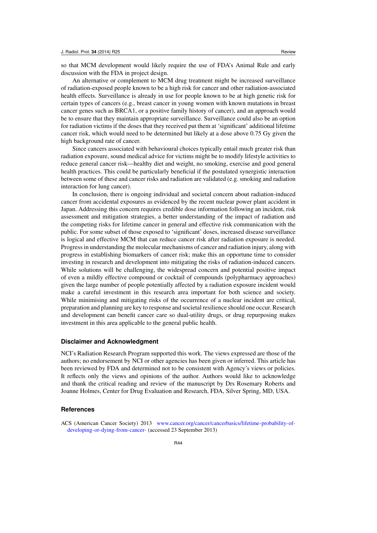so that MCM development would likely require the use of FDA's Animal Rule and early discussion with the FDA in project design.

An alternative or complement to MCM drug treatment might be increased surveillance of radiation-exposed people known to be a high risk for cancer and other radiation-associated health effects. Surveillance is already in use for people known to be at high genetic risk for certain types of cancers (e.g., breast cancer in young women with known mutations in breast cancer genes such as BRCA1, or a positive family history of cancer), and an approach would be to ensure that they maintain appropriate surveillance. Surveillance could also be an option for radiation victims if the doses that they received put them at 'significant' additional lifetime cancer risk, which would need to be determined but likely at a dose above 0.75 Gy given the high background rate of cancer.

Since cancers associated with behavioural choices typically entail much greater risk than radiation exposure, sound medical advice for victims might be to modify lifestyle activities to reduce general cancer risk—healthy diet and weight, no smoking, exercise and good general health practices. This could be particularly beneficial if the postulated synergistic interaction between some of these and cancer risks and radiation are validated (e.g. smoking and radiation interaction for lung cancer).

In conclusion, there is ongoing individual and societal concern about radiation-induced cancer from accidental exposures as evidenced by the recent nuclear power plant accident in Japan. Addressing this concern requires credible dose information following an incident, risk assessment and mitigation strategies, a better understanding of the impact of radiation and the competing risks for lifetime cancer in general and effective risk communication with the public. For some subset of those exposed to 'significant' doses, increased disease surveillance is logical and effective MCM that can reduce cancer risk after radiation exposure is needed. Progress in understanding the molecular mechanisms of cancer and radiation injury, along with progress in establishing biomarkers of cancer risk; make this an opportune time to consider investing in research and development into mitigating the risks of radiation-induced cancers. While solutions will be challenging, the widespread concern and potential positive impact of even a mildly effective compound or cocktail of compounds (polypharmacy approaches) given the large number of people potentially affected by a radiation exposure incident would make a careful investment in this research area important for both science and society. While minimising and mitigating risks of the occurrence of a nuclear incident are critical, preparation and planning are key to response and societal resilience should one occur. Research and development can benefit cancer care so dual-utility drugs, or drug repurposing makes investment in this area applicable to the general public health.

#### **Disclaimer and Acknowledgment**

NCI's Radiation Research Program supported this work. The views expressed are those of the authors; no endorsement by NCI or other agencies has been given or inferred. This article has been reviewed by FDA and determined not to be consistent with Agency's views or policies. It reflects only the views and opinions of the author. Authors would like to acknowledge and thank the critical reading and review of the manuscript by Drs Rosemary Roberts and Joanne Holmes, Center for Drug Evaluation and Research, FDA, Silver Spring, MD, USA.

#### **References**

<span id="page-20-0"></span>ACS (American Cancer Society) 2013 [www.cancer.org/cancer/cancerbasics/lifetime-probability-of](#page-0-0)[developing-or-dying-from-cancer-](#page-0-0) (accessed 23 September 2013)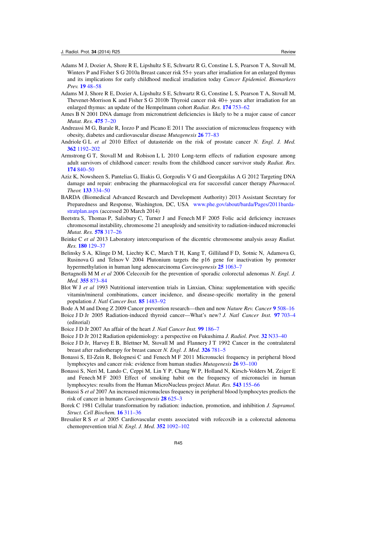- <span id="page-21-15"></span>Adams M J, Dozier A, Shore R E, Lipshultz S E, Schwartz R G, Constine L S, Pearson T A, Stovall M, Winters P and Fisher S G 2010a Breast cancer risk 55+ years after irradiation for an enlarged thymus and its implications for early childhood medical irradiation today *Cancer Epidemiol. Biomarkers Prev.* [19](http://dx.doi.org/10.1158/1055-9965.EPI-09-0520) [48–58](http://dx.doi.org/10.1158/1055-9965.EPI-09-0520)
- <span id="page-21-16"></span>Adams M J, Shore R E, Dozier A, Lipshultz S E, Schwartz R G, Constine L S, Pearson T A, Stovall M, Thevenet-Morrison K and Fisher S G 2010b Thyroid cancer risk 40+ years after irradiation for an enlarged thymus: an update of the Hempelmann cohort *Radiat. Res.* [174](http://dx.doi.org/10.1667/RR2181.1) [753–62](http://dx.doi.org/10.1667/RR2181.1)
- <span id="page-21-4"></span>Ames B N 2001 DNA damage from micronutrient deficiencies is likely to be a major cause of cancer *Mutat. Res.* [475](http://dx.doi.org/10.1016/S0027-5107(01)00070-7) [7–20](http://dx.doi.org/10.1016/S0027-5107(01)00070-7)
- <span id="page-21-19"></span>Andreassi M G, Barale R, Iozzo P and Picano E 2011 The association of micronucleus frequency with obesity, diabetes and cardiovascular disease *Mutagenesis* [26](http://dx.doi.org/10.1093/mutage/geq077) [77–83](http://dx.doi.org/10.1093/mutage/geq077)
- <span id="page-21-8"></span>Andriole G L *et al* 2010 Effect of dutasteride on the risk of prostate cancer *N. Engl. J. Med.* [362](http://dx.doi.org/10.1056/NEJMoa0908127) [1192–202](http://dx.doi.org/10.1056/NEJMoa0908127)
- <span id="page-21-13"></span>Armstrong G T, Stovall M and Robison L L 2010 Long-term effects of radiation exposure among adult survivors of childhood cancer: results from the childhood cancer survivor study *Radiat. Res.* [174](http://dx.doi.org/10.1667/RR1903.1) [840–50](http://dx.doi.org/10.1667/RR1903.1)
- <span id="page-21-2"></span>Aziz K, Nowsheen S, Pantelias G, Iliakis G, Gorgoulis V G and Georgakilas A G 2012 Targeting DNA damage and repair: embracing the pharmacological era for successful cancer therapy *Pharmacol. Theor.* [133](http://dx.doi.org/10.1016/j.pharmthera.2011.11.010) [334–50](http://dx.doi.org/10.1016/j.pharmthera.2011.11.010)
- <span id="page-21-12"></span>BARDA (Biomedical Advanced Research and Development Authority) 2013 Assistant Secretary for Preparedness and Response, Washington, DC, USA [www.phe.gov/about/barda/Pages/2011barda](www.phe.gov/about/barda/Pages/2011barda-stratplan.aspx)[stratplan.aspx](www.phe.gov/about/barda/Pages/2011barda-stratplan.aspx) (accessed 20 March 2014)
- <span id="page-21-20"></span>Beetstra S, Thomas P, Salisbury C, Turner J and Fenech M F 2005 Folic acid deficiency increases chromosomal instability, chromosome 21 aneuploidy and sensitivity to radiation-induced micronuclei *Mutat. Res.* [578](http://dx.doi.org/10.1016/j.mrfmmm.2005.05.012) [317–26](http://dx.doi.org/10.1016/j.mrfmmm.2005.05.012)
- <span id="page-21-22"></span>Beinke C *et al* 2013 Laboratory intercomparison of the dicentric chromosome analysis assay *Radiat. Res.* [180](http://dx.doi.org/10.1667/RR3235.1) [129–37](http://dx.doi.org/10.1667/RR3235.1)
- <span id="page-21-7"></span>Belinsky S A, Klinge D M, Liechty K C, March T H, Kang T, Gilliland F D, Sotnic N, Adamova G, Rusinova G and Telnov V 2004 Plutonium targets the p16 gene for inactivation by promoter hypermethylation in human lung adenocarcinoma *Carcinogenesis* [25](http://dx.doi.org/10.1093/carcin/bgh096) [1063–7](http://dx.doi.org/10.1093/carcin/bgh096)
- <span id="page-21-10"></span>Bertagnolli M M *et al* 2006 Celecoxib for the prevention of sporadic colorectal adenomas *N. Engl. J. Med.* [355](http://dx.doi.org/10.1056/NEJMoa061355) [873–84](http://dx.doi.org/10.1056/NEJMoa061355)
- <span id="page-21-5"></span>Blot W J *et al* 1993 Nutritional intervention trials in Linxian, China: supplementation with specific vitamin/mineral combinations, cancer incidence, and disease-specific mortality in the general population *J. Natl Cancer Inst.* [85](http://dx.doi.org/10.1093/jnci/85.18.1483) [1483–92](http://dx.doi.org/10.1093/jnci/85.18.1483)
- <span id="page-21-11"></span><span id="page-21-6"></span>Bode A M and Dong Z 2009 Cancer prevention research—then and now *Nature Rev. Cancer* [9](http://dx.doi.org/10.1038/nrc2646) [508–16](http://dx.doi.org/10.1038/nrc2646)
- Boice J D Jr 2005 Radiation-induced thyroid cancer—What's new? *J. Natl Cancer Inst.* [97](http://dx.doi.org/10.1093/jnci/dji151) [703–4](http://dx.doi.org/10.1093/jnci/dji151) (editorial)
- <span id="page-21-1"></span><span id="page-21-0"></span>Boice J D Jr 2007 An affair of the heart *J. Natl Cancer Inst.* [99](http://dx.doi.org/10.1093/jnci/djk058) [186–7](http://dx.doi.org/10.1093/jnci/djk058)
- Boice J D Jr 2012 Radiation epidemiology: a perspective on Fukushima *J. Radiol. Prot.* [32](http://dx.doi.org/10.1088/0952-4746/32/1/N33) [N33–40](http://dx.doi.org/10.1088/0952-4746/32/1/N33)
- <span id="page-21-14"></span>Boice J D Jr, Harvey E B, Blettner M, Stovall M and Flannery J T 1992 Cancer in the contralateral breast after radiotherapy for breast cancer *N. Engl. J. Med.* [326](http://dx.doi.org/10.1056/NEJM199203193261201) [781–5](http://dx.doi.org/10.1056/NEJM199203193261201)
- <span id="page-21-21"></span>Bonassi S, El-Zein R, Bolognesi C and Fenech M F 2011 Micronuclei frequency in peripheral blood lymphocytes and cancer risk: evidence from human studies *Mutagenesis* [26](http://dx.doi.org/10.1093/mutage/geq075) [93–100](http://dx.doi.org/10.1093/mutage/geq075)
- <span id="page-21-17"></span>Bonassi S, Neri M, Lando C, Ceppi M, Lin Y P, Chang W P, Holland N, Kirsch-Volders M, Zeiger E and Fenech M F 2003 Effect of smoking habit on the frequency of micronuclei in human lymphocytes: results from the Human MicroNucleus project *Mutat. Res.* [543](http://dx.doi.org/10.1016/S1383-5742(03)00013-9) [155–66](http://dx.doi.org/10.1016/S1383-5742(03)00013-9)
- <span id="page-21-18"></span>Bonassi S *et al* 2007 An increased micronucleus frequency in peripheral blood lymphocytes predicts the risk of cancer in humans *Carcinogenesis* [28](http://dx.doi.org/10.1093/carcin/bgl177) [625–3](http://dx.doi.org/10.1093/carcin/bgl177)
- <span id="page-21-3"></span>Borek C 1981 Cellular transformation by radiation: induction, promotion, and inhibition *J. Supramol. Struct. Cell Biochem.* [16](http://dx.doi.org/10.1002/jsscb.1981.380160403) [311–36](http://dx.doi.org/10.1002/jsscb.1981.380160403)
- <span id="page-21-9"></span>Bresalier R S *et al* 2005 Cardiovascular events associated with rofecoxib in a colorectal adenoma chemoprevention trial *N. Engl. J. Med.* [352](http://dx.doi.org/10.1056/NEJMoa050493) [1092–102](http://dx.doi.org/10.1056/NEJMoa050493)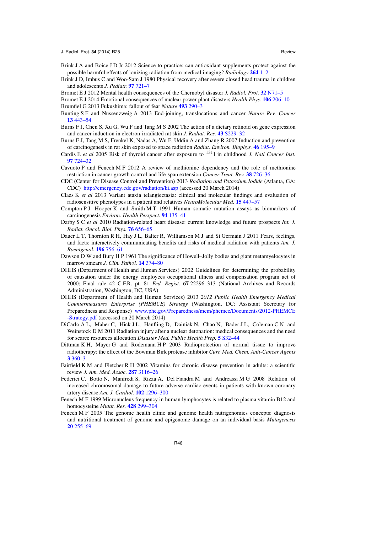- <span id="page-22-4"></span>Brink J A and Boice J D Jr 2012 Science to practice: can antioxidant supplements protect against the possible harmful effects of ionizing radiation from medical imaging? *Radiology* [264](http://dx.doi.org/10.1148/radiol.12120712) [1–2](http://dx.doi.org/10.1148/radiol.12120712)
- <span id="page-22-21"></span>Brink J D, Imbus C and Woo-Sam J 1980 Physical recovery after severe closed head trauma in children and adolescents *J. Pediatr.* [97](http://dx.doi.org/10.1016/S0022-3476(80)80253-8) [721–7](http://dx.doi.org/10.1016/S0022-3476(80)80253-8)
- <span id="page-22-5"></span>Bromet E J 2012 Mental health consequences of the Chernobyl disaster *J. Radiol. Prot.* [32](http://dx.doi.org/10.1088/0952-4746/32/1/N71) [N71–5](http://dx.doi.org/10.1088/0952-4746/32/1/N71)
- <span id="page-22-6"></span>Bromet E J 2014 Emotional consequences of nuclear power plant disasters *Health Phys.* [106](http://dx.doi.org/10.1097/HP.0000000000000012) [206–10](http://dx.doi.org/10.1097/HP.0000000000000012)

- <span id="page-22-9"></span>Bunting S F and Nussenzweig A 2013 End-joining, translocations and cancer *Nature Rev. Cancer* [13](http://dx.doi.org/10.1038/nrc3537) [443–54](http://dx.doi.org/10.1038/nrc3537)
- <span id="page-22-14"></span>Burns F J, Chen S, Xu G, Wu F and Tang M S 2002 The action of a dietary retinoid on gene expression and cancer induction in electron-irradiated rat skin *J. Radiat. Res.* [43](http://dx.doi.org/10.1269/jrr.43.S229) [S229–32](http://dx.doi.org/10.1269/jrr.43.S229)
- <span id="page-22-13"></span>Burns F J, Tang M S, Frenkel K, Nadas A, Wu F, Uddin A and Zhang R 2007 Induction and prevention of carcinogenesis in rat skin exposed to space radiation *Radiat. Environ. Biophys.* [46](http://dx.doi.org/10.1007/s00411-007-0106-3) [195–9](http://dx.doi.org/10.1007/s00411-007-0106-3)
- <span id="page-22-11"></span>Cardis E *et al* 2005 Risk of thyroid cancer after exposure to <sup>131</sup>I in childhood *J. Natl Cancer Inst.* [97](http://dx.doi.org/10.1093/jnci/dji129) [724–32](http://dx.doi.org/10.1093/jnci/dji129)
- <span id="page-22-12"></span>Cavuoto P and Fenech M F 2012 A review of methionine dependency and the role of methionine restriction in cancer growth control and life-span extension *Cancer Treat. Rev.* [38](http://dx.doi.org/10.1016/j.ctrv.2012.01.004) [726–36](http://dx.doi.org/10.1016/j.ctrv.2012.01.004)
- <span id="page-22-10"></span>CDC (Center for Disease Control and Prevention) 2013 *Radiation and Potassium Iodide* (Atlanta, GA: CDC) <http://emergency.cdc.gov/radiation/ki.asp> (accessed 20 March 2014)
- <span id="page-22-22"></span>Claes K *et al* 2013 Variant ataxia telangiectasia: clinical and molecular findings and evaluation of radiosensitive phenotypes in a patient and relatives *NeuroMolecular Med.* [15](http://dx.doi.org/10.1007/s12017-013-8231-4) [447–57](http://dx.doi.org/10.1007/s12017-013-8231-4)
- <span id="page-22-8"></span>Compton P J, Hooper K and Smith M T 1991 Human somatic mutation assays as biomarkers of carcinogenesis *Environ. Health Perspect.* [94](http://dx.doi.org/10.2307/3431307) [135–41](http://dx.doi.org/10.2307/3431307)
- <span id="page-22-16"></span>Darby S C *et al* 2010 Radiation-related heart disease: current knowledge and future prospects *Int. J. Radiat. Oncol. Biol. Phys.* [76](http://dx.doi.org/10.1016/j.ijrobp.2009.09.064) [656–65](http://dx.doi.org/10.1016/j.ijrobp.2009.09.064)
- <span id="page-22-2"></span>Dauer L T, Thornton R H, Hay J L, Balter R, Williamson M J and St Germain J 2011 Fears, feelings, and facts: interactively communicating benefits and risks of medical radiation with patients *Am. J. Roentgenol.* [196](http://dx.doi.org/10.2214/AJR.10.5956) [756–61](http://dx.doi.org/10.2214/AJR.10.5956)
- <span id="page-22-20"></span>Dawson D W and Bury H P 1961 The significance of Howell–Jolly bodies and giant metamyelocytes in marrow smears *J. Clin. Pathol.* [14](http://dx.doi.org/10.1136/jcp.14.4.374) [374–80](http://dx.doi.org/10.1136/jcp.14.4.374)
- <span id="page-22-0"></span>DHHS (Department of Health and Human Services) 2002 Guidelines for determining the probability of causation under the energy employees occupational illness and compensation program act of 2000; Final rule 42 C.F.R. pt. 81 *Fed. Regist.* 67 22296–313 (National Archives and Records Administration, Washington, DC, USA)
- DHHS (Department of Health and Human Services) 2013 *2012 Public Health Emergency Medical Countermeasures Enterprise (PHEMCE) Strategy* (Washington, DC: Assistant Secretary for Preparedness and Response) [www.phe.gov/Preparedness/mcm/phemce/Documents/2012-PHEMCE](#page-0-0) [-Strategy.pdf](#page-0-0) (accessed on 20 March 2014)
- <span id="page-22-1"></span>DiCarlo A L, Maher C, Hick J L, Hanfling D, Dainiak N, Chao N, Bader J L, Coleman C N and Weinstock D M 2011 Radiation injury after a nuclear detonation: medical consequences and the need for scarce resources allocation *Disaster Med. Public Health Prep.* [5](http://dx.doi.org/10.1001/dmp.2011.17) [S32–44](http://dx.doi.org/10.1001/dmp.2011.17)
- <span id="page-22-7"></span>Dittman K H, Mayer G and Rodemann H P 2003 Radioprotection of normal tissue to improve radiotherapy: the effect of the Bowman Birk protease inhibitor *Curr. Med. Chem. Anti-Cancer Agents* [3](http://dx.doi.org/10.2174/1568011033482288) [360–3](http://dx.doi.org/10.2174/1568011033482288)
- <span id="page-22-15"></span>Fairfield K M and Fletcher R H 2002 Vitamins for chronic disease prevention in adults: a scientific review *J. Am. Med. Assoc.* [287](http://dx.doi.org/10.1001/jama.287.23.3116) [3116–26](http://dx.doi.org/10.1001/jama.287.23.3116)
- <span id="page-22-18"></span>Federici C, Botto N, Manfredi S, Rizza A, Del Fiandra M and Andreassi M G 2008 Relation of increased chromosomal damage to future adverse cardiac events in patients with known coronary artery disease *Am. J. Cardiol.* [102](http://dx.doi.org/10.1016/j.amjcard.2008.07.024) [1296–300](http://dx.doi.org/10.1016/j.amjcard.2008.07.024)
- <span id="page-22-17"></span>Fenech M F 1999 Micronucleus frequency in human lymphocytes is related to plasma vitamin B12 and homocysteine *Mutat. Res.* [428](http://dx.doi.org/10.1016/S1383-5742(99)00056-3) [299–304](http://dx.doi.org/10.1016/S1383-5742(99)00056-3)
- <span id="page-22-19"></span>Fenech M F 2005 The genome health clinic and genome health nutrigenomics concepts: diagnosis and nutritional treatment of genome and epigenome damage on an individual basis *Mutagenesis* [20](http://dx.doi.org/10.1093/mutage/gei040) [255–69](http://dx.doi.org/10.1093/mutage/gei040)

<span id="page-22-3"></span>Brumfiel G 2013 Fukushima: fallout of fear *Nature* [493](http://dx.doi.org/10.1038/493290a) [290–3](http://dx.doi.org/10.1038/493290a)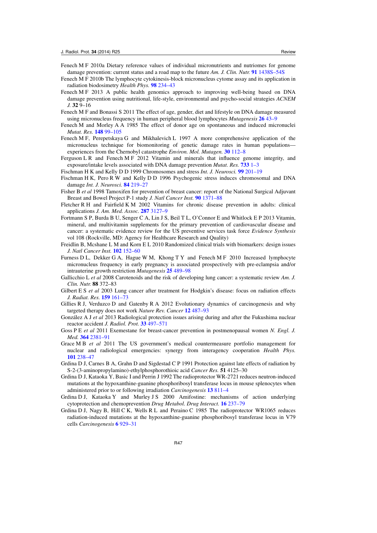- <span id="page-23-7"></span>Fenech M F 2010a Dietary reference values of individual micronutrients and nutriomes for genome damage prevention: current status and a road map to the future *Am. J. Clin. Nutr.* [91](http://dx.doi.org/10.3945/ajcn.2010.28674D) [1438S–54S](http://dx.doi.org/10.3945/ajcn.2010.28674D)
- <span id="page-23-16"></span>Fenech M F 2010b The lymphocyte cytokinesis-block micronucleus cytome assay and its application in radiation biodosimetry *Health Phys.* [98](http://dx.doi.org/10.1097/HP.0b013e3181b85044) [234–43](http://dx.doi.org/10.1097/HP.0b013e3181b85044)
- <span id="page-23-21"></span>Fenech M F 2013 A public health genomics approach to improving well-being based on DNA damage prevention using nutritional, life-style, environmental and psycho-social strategies *ACNEM J.* 32 9–16
- <span id="page-23-17"></span>Fenech M F and Bonassi S 2011 The effect of age, gender, diet and lifestyle on DNA damage measured using micronucleus frequency in human peripheral blood lymphocytes *Mutagenesis* [26](http://dx.doi.org/10.1093/mutage/geq050) [43–9](http://dx.doi.org/10.1093/mutage/geq050)
- <span id="page-23-18"></span>Fenech M and Morley A A 1985 The effect of donor age on spontaneous and induced micronuclei *Mutat. Res.* [148](http://dx.doi.org/10.1016/0027-5107(85)90212-X) [99–105](http://dx.doi.org/10.1016/0027-5107(85)90212-X)
- <span id="page-23-19"></span>Fenech M F, Perepetskaya G and Mikhalevich L 1997 A more comprehensive application of the micronucleus technique for biomonitoring of genetic damage rates in human populations experiences from the Chernobyl catastrophe *Environ. Mol. Mutagen.* [30](http://dx.doi.org/10.1002/(SICI)1098-2280(1997)30:2<112::AID-EM3>3.0.CO;2-P) [112–8](http://dx.doi.org/10.1002/(SICI)1098-2280(1997)30:2<112::AID-EM3>3.0.CO;2-P)
- <span id="page-23-8"></span>Ferguson L R and Fenech M F 2012 Vitamin and minerals that influence genome integrity, and exposure/intake levels associated with DNA damage prevention *Mutat. Res.* [733](http://dx.doi.org/10.1016/j.mrfmmm.2012.03.009) [1–3](http://dx.doi.org/10.1016/j.mrfmmm.2012.03.009)
- <span id="page-23-22"></span>Fischman H K and Kelly D D 1999 Chromosomes and stress *Int. J. Neurosci.* [99](http://dx.doi.org/10.3109/00207459908994325) [201–19](http://dx.doi.org/10.3109/00207459908994325)
- <span id="page-23-23"></span>Fischman H K, Pero R W and Kelly D D 1996 Psychogenic stress induces chromosomal and DNA damage *Int. J. Neurosci.* [84](http://dx.doi.org/10.3109/00207459608987267) [219–27](http://dx.doi.org/10.3109/00207459608987267)
- <span id="page-23-11"></span>Fisher B *et al* 1998 Tamoxifen for prevention of breast cancer: report of the National Surgical Adjuvant Breast and Bowel Project P-1 study *J. Natl Cancer Inst.* [90](http://dx.doi.org/10.1093/jnci/90.18.1371) [1371–88](http://dx.doi.org/10.1093/jnci/90.18.1371)
- <span id="page-23-12"></span>Fletcher R H and Fairfield K M 2002 Vitamins for chronic disease prevention in adults: clinical applications *J. Am. Med. Assoc.* [287](http://dx.doi.org/10.1001/jama.287.23.3127) [3127–9](http://dx.doi.org/10.1001/jama.287.23.3127)
- <span id="page-23-13"></span>Fortmann S P, Burda B U, Senger C A, Lin J S, Beil T L, O'Connor E and Whitlock E P 2013 Vitamin, mineral, and multivitamin supplements for the primary prevention of cardiovascular disease and cancer: a systematic evidence review for the US preventive services task force *Evidence Synthesis* vol 108 (Rockville, MD: Agency for Healthcare Research and Quality)
- <span id="page-23-15"></span>Freidlin B, Mcshane L M and Korn E L 2010 Randomized clinical trials with biomarkers: design issues *J. Natl Cancer Inst.* [102](http://dx.doi.org/10.1093/jnci/djp477) [152–60](http://dx.doi.org/10.1093/jnci/djp477)
- <span id="page-23-20"></span>Furness D L, Dekker G A, Hague W M, Khong T Y and Fenech M F 2010 Increased lymphocyte micronucleus frequency in early pregnancy is associated prospectively with pre-eclampsia and/or intrauterine growth restriction *Mutagenesis* [25](http://dx.doi.org/10.1093/mutage/geq032) [489–98](http://dx.doi.org/10.1093/mutage/geq032)
- <span id="page-23-10"></span>Gallicchio L *et al* 2008 Carotenoids and the risk of developing lung cancer: a systematic review *Am. J. Clin. Nutr.* 88 372–83
- <span id="page-23-14"></span>Gilbert E S *et al* 2003 Lung cancer after treatment for Hodgkin's disease: focus on radiation effects *J. Radiat. Res.* [159](http://dx.doi.org/10.1667/0033-7587(2003)159[0161:LCATFH]2.0.CO;2) [161–73](http://dx.doi.org/10.1667/0033-7587(2003)159[0161:LCATFH]2.0.CO;2)
- <span id="page-23-2"></span>Gillies R J, Verduzco D and Gatenby R A 2012 Evolutionary dynamics of carcinogenesis and why targeted therapy does not work *Nature Rev. Cancer* [12](http://dx.doi.org/10.1038/nrc3298) [487–93](http://dx.doi.org/10.1038/nrc3298)
- <span id="page-23-0"></span>González A J et al 2013 Radiological protection issues arising during and after the Fukushima nuclear reactor accident *J. Radiol. Prot.* [33](http://dx.doi.org/10.1088/0952-4746/33/3/497) [497–571](http://dx.doi.org/10.1088/0952-4746/33/3/497)
- <span id="page-23-9"></span>Goss P E *et al* 2011 Exemestane for breast-cancer prevention in postmenopausal women *N. Engl. J. Med.* [364](http://dx.doi.org/10.1056/NEJMoa1103507) [2381–91](http://dx.doi.org/10.1056/NEJMoa1103507)
- <span id="page-23-1"></span>Grace M B *et al* 2011 The US government's medical countermeasure portfolio management for nuclear and radiological emergencies: synergy from interagency cooperation *Health Phys.* [101](http://dx.doi.org/10.1097/HP.0b013e3182135fba) [238–47](http://dx.doi.org/10.1097/HP.0b013e3182135fba)
- <span id="page-23-3"></span>Grdina D J, Carnes B A, Grahn D and Sigdestad C P 1991 Protection against late effects of radiation by S-2-(3-aminopropylamino)-ethylphosphorothioic acid *Cancer Res.* 51 4125–30
- <span id="page-23-5"></span>Grdina D J, Kataoka Y, Basic I and Perrin J 1992 The radioprotector WR-2721 reduces neutron-induced mutations at the hypoxanthine-guanine phosphoribosyl transferase locus in mouse splenocytes when administered prior to or following irradiation *Carcinogenesis* [13](http://dx.doi.org/10.1093/carcin/13.5.811) [811–4](http://dx.doi.org/10.1093/carcin/13.5.811)
- <span id="page-23-6"></span>Grdina D J, Kataoka Y and Murley J S 2000 Amifostine: mechanisms of action underlying cytoprotection and chemoprevention *Drug Metabol. Drug Interact.* [16](http://dx.doi.org/10.1515/DMDI.2000.16.4.237) [237–79](http://dx.doi.org/10.1515/DMDI.2000.16.4.237)
- <span id="page-23-4"></span>Grdina D J, Nagy B, Hill C K, Wells R L and Peraino C 1985 The radioprotector WR1065 reduces radiation-induced mutations at the hypoxanthine-guanine phosphoribosyl transferase locus in V79 cells *Carcinogenesis* [6](http://dx.doi.org/10.1093/carcin/6.6.929) [929–31](http://dx.doi.org/10.1093/carcin/6.6.929)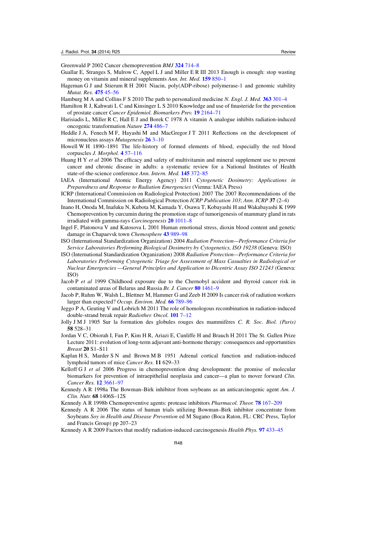<span id="page-24-17"></span><span id="page-24-8"></span>Greenwald P 2002 Cancer chemoprevention *BMJ* [324](http://dx.doi.org/10.1136/bmj.324.7339.714) [714–8](http://dx.doi.org/10.1136/bmj.324.7339.714)

- Guallar E, Stranges S, Mulrow C, Appel L J and Miller E R III 2013 Enough is enough: stop wasting money on vitamin and mineral supplements *Ann. Int. Med.* [159](http://dx.doi.org/10.7326/0003-4819-159-12-201312170-00011) [850–1](http://dx.doi.org/10.7326/0003-4819-159-12-201312170-00011)
- <span id="page-24-5"></span>Hageman G J and Stierum R H 2001 Niacin, poly(ADP-ribose) polymerase-1 and genomic stability *Mutat. Res.* [475](http://dx.doi.org/10.1016/S0027-5107(01)00078-1) [45–56](http://dx.doi.org/10.1016/S0027-5107(01)00078-1)

<span id="page-24-18"></span>Hamburg M A and Collins F S 2010 The path to personalized medicine *N. Engl. J. Med.* [363](http://dx.doi.org/10.1056/NEJMp1006304) [301–4](http://dx.doi.org/10.1056/NEJMp1006304)

- <span id="page-24-12"></span>Hamilton R J, Kahwati L C and Kinsinger L S 2010 Knowledge and use of finasteride for the prevention of prostate cancer *Cancer Epidemiol. Biomarkers Prev.* [19](http://dx.doi.org/10.1158/1055-9965.EPI-10-0082) [2164–71](http://dx.doi.org/10.1158/1055-9965.EPI-10-0082)
- <span id="page-24-6"></span>Harisiadis L, Miller R C, Hall E J and Borek C 1978 A vitamin A analogue inhibits radiation-induced oncogenic transformation *Nature* [274](http://dx.doi.org/10.1038/274486a0) [486–7](http://dx.doi.org/10.1038/274486a0)
- <span id="page-24-22"></span>Heddle J A, Fenech M F, Hayashi M and MacGregor J T 2011 Reflections on the development of micronucleus assays *Mutagenesis* [26](http://dx.doi.org/10.1093/mutage/geq085) [3–10](http://dx.doi.org/10.1093/mutage/geq085)
- <span id="page-24-21"></span>Howell W H 1890–1891 The life-history of formed elements of blood, especially the red blood corpuscles *J. Morphol.* [4](http://dx.doi.org/10.1002/jmor.1050040105) [57–116](http://dx.doi.org/10.1002/jmor.1050040105)
- <span id="page-24-10"></span>Huang H Y *et al* 2006 The efficacy and safety of multivitamin and mineral supplement use to prevent cancer and chronic disease in adults: a systematic review for a National Institutes of Health state-of-the-science conference *Ann. Intern. Med.* [145](http://dx.doi.org/10.7326/0003-4819-145-5-200609050-00135) [372–85](http://dx.doi.org/10.7326/0003-4819-145-5-200609050-00135)
- <span id="page-24-19"></span>IAEA (International Atomic Energy Agency) 2011 *Cytogenetic Dosimetry: Applications in Preparedness and Response to Radiation Emergencies* (Vienna: IAEA Press)
- <span id="page-24-0"></span>ICRP (International Commission on Radiological Protection) 2007 The 2007 Recommendations of the International Commission on Radiological Protection *ICRP Publication 103*; *Ann. ICRP* 37 (2–4)
- <span id="page-24-7"></span>Inano H, Onoda M, Inafuku N, Kubota M, Kamada Y, Osawa T, Kobayashi H and Wakabayashi K 1999 Chemoprevention by curcumin during the promotion stage of tumorigenesis of mammary gland in rats irradiated with gamma-rays *Carcinogenesis* [20](http://dx.doi.org/10.1093/carcin/20.6.1011) [1011–8](http://dx.doi.org/10.1093/carcin/20.6.1011)
- <span id="page-24-25"></span>Ingel F, Platonova V and Katosova L 2001 Human emotional stress, dioxin blood content and genetic damage in Chapaevsk town *Chemosphere* [43](http://dx.doi.org/10.1016/S0045-6535(00)00460-4) [989–98](http://dx.doi.org/10.1016/S0045-6535(00)00460-4)
- <span id="page-24-23"></span>ISO (International Standardization Organization) 2004 *Radiation Protection—Performance Criteria for Service Laboratories Performing Biological Dosimetry by Cytogenetics, ISO 19238* (Geneva: ISO)
- <span id="page-24-24"></span>ISO (International Standardization Organization) 2008 *Radiation Protection—Performance Criteria for Laboratories Performing Cytogenetic Triage for Assessment of Mass Casualties in Radiological or Nuclear Emergencies —General Principles and Application to Dicentric Assay ISO 21243* (Geneva: ISO)
- <span id="page-24-1"></span>Jacob P *et al* 1999 Childhood exposure due to the Chernobyl accident and thyroid cancer risk in contaminated areas of Belarus and Russia *Br. J. Cancer* [80](http://dx.doi.org/10.1038/sj.bjc.6690545) [1461–9](http://dx.doi.org/10.1038/sj.bjc.6690545)
- <span id="page-24-2"></span>Jacob P, Ruhm W, Walsh L, Blettner M, Hammer G and Zeeb H 2009 Is cancer risk of radiation workers larger than expected? *Occup. Environ. Med.* [66](http://dx.doi.org/10.1136/oem.2008.043265) [789–96](http://dx.doi.org/10.1136/oem.2008.043265)
- <span id="page-24-4"></span>Jeggo P A, Geuting V and Lobrich M 2011 The role of homologous recombination in radiation-induced double-strand break repair *Radiother. Oncol.* [101](http://dx.doi.org/10.1016/j.radonc.2011.06.019) [7–12](http://dx.doi.org/10.1016/j.radonc.2011.06.019)
- <span id="page-24-20"></span>Jolly J M J 1905 Sur la formation des globules rouges des mammifères C. R. Soc. Biol. (Paris) 58 528–31
- <span id="page-24-11"></span>Jordan V C, Obiorah I, Fan P, Kim H R, Ariazi E, Cunliffe H and Brauch H 2011 The St. Gallen Prize Lecture 2011: evolution of long-term adjuvant anti-hormone therapy: consequences and opportunities *Breast* 20 S1–S11
- <span id="page-24-16"></span>Kaplan H S, Marder S N and Brown M B 1951 Adrenal cortical function and radiation-induced lymphoid tumors of mice *Cancer Res.* 11 629–33
- <span id="page-24-9"></span>Kelloff G J *et al* 2006 Progress in chemoprevention drug development: the promise of molecular biomarkers for prevention of intraepithelial neoplasia and cancer—a plan to mover forward *Clin. Cancer Res.* [12](http://dx.doi.org/10.1158/1078-0432.CCR-06-1104) [3661–97](http://dx.doi.org/10.1158/1078-0432.CCR-06-1104)
- <span id="page-24-13"></span>Kennedy A R 1998a The Bowman–Birk inhibitor from soybeans as an anticarcinogenic agent *Am. J. Clin. Nutr.* 68 1406S–12S
- <span id="page-24-15"></span><span id="page-24-14"></span>Kennedy A R 1998b Chemopreventive agents: protease inhibitors *Pharmacol. Theor.* [78](http://dx.doi.org/10.1016/S0163-7258(98)00010-2) [167–209](http://dx.doi.org/10.1016/S0163-7258(98)00010-2)
- Kennedy A R 2006 The status of human trials utilizing Bowman–Birk inhibitor concentrate from Soybeans *Soy in Health and Disease Prevention* ed M Sugano (Boca Raton, FL: CRC Press, Taylor and Francis Group) pp 207–23
- <span id="page-24-3"></span>Kennedy A R 2009 Factors that modify radiation-induced carcinogenesis *Health Phys.* [97](http://dx.doi.org/10.1097/HP.0b013e3181ac9262) [433–45](http://dx.doi.org/10.1097/HP.0b013e3181ac9262)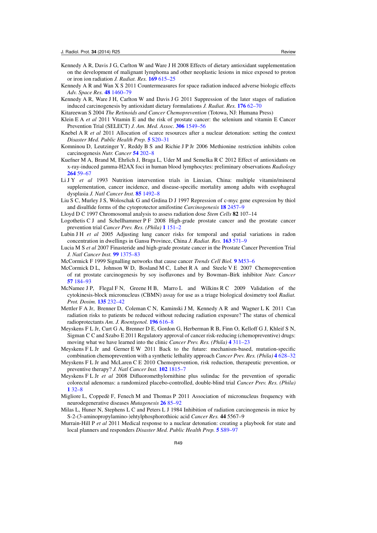- <span id="page-25-18"></span>Kennedy A R, Davis J G, Carlton W and Ware J H 2008 Effects of dietary antioxidant supplementation on the development of malignant lymphoma and other neoplastic lesions in mice exposed to proton or iron ion radiation *J. Radiat. Res.* [169](http://dx.doi.org/10.1667/RR1296.1) [615–25](http://dx.doi.org/10.1667/RR1296.1)
- <span id="page-25-20"></span>Kennedy A R and Wan X S 2011 Countermeasures for space radiation induced adverse biologic effects *Adv. Space Res.* [48](http://dx.doi.org/10.1016/j.asr.2011.07.007) [1460–79](http://dx.doi.org/10.1016/j.asr.2011.07.007)
- <span id="page-25-8"></span>Kennedy A R, Ware J H, Carlton W and Davis J G 2011 Suppression of the later stages of radiation induced carcinogenesis by antioxidant dietary formulations *J. Radiat. Res.* [176](http://dx.doi.org/10.1667/RR2439.1) [62–70](http://dx.doi.org/10.1667/RR2439.1)

<span id="page-25-10"></span>Kitareewan S 2004 *The Retinoids and Cancer Chemoprevention* (Totowa, NJ: Humana Press)

- <span id="page-25-9"></span>Klein E A *et al* 2011 Vitamin E and the risk of prostate cancer: the selenium and vitamin E Cancer Prevention Trial (SELECT) *J. Am. Med. Assoc.* [306](http://dx.doi.org/10.1001/jama.2011.1437) [1549–56](http://dx.doi.org/10.1001/jama.2011.1437)
- <span id="page-25-0"></span>Knebel A R *et al* 2011 Allocation of scarce resources after a nuclear detonation: setting the context *Disaster Med. Public Health Prep.* [5](http://dx.doi.org/10.1001/dmp.2011.25) [S20–31](http://dx.doi.org/10.1001/dmp.2011.25)
- <span id="page-25-11"></span>Komninou D, Leutzinger Y, Reddy B S and Richie J P Jr 2006 Methionine restriction inhibits colon carcinogenesis *Nutr. Cancer* [54](http://dx.doi.org/10.1207/s15327914nc5402_6) [202–8](http://dx.doi.org/10.1207/s15327914nc5402_6)
- <span id="page-25-2"></span>Kuefner M A, Brand M, Ehrlich J, Braga L, Uder M and Semelka R C 2012 Effect of antioxidants on x-ray-induced gamma-H2AX foci in human blood lymphocytes: preliminary observations *Radiology* [264](http://dx.doi.org/10.1148/radiol.12111730) [59–67](http://dx.doi.org/10.1148/radiol.12111730)
- <span id="page-25-19"></span>Li J Y *et al* 1993 Nutrition intervention trials in Linxian, China: multiple vitamin/mineral supplementation, cancer incidence, and disease-specific mortality among adults with esophageal dysplasia *J. Natl Cancer Inst.* [85](http://dx.doi.org/10.1093/jnci/85.18.1492) [1492–8](http://dx.doi.org/10.1093/jnci/85.18.1492)
- <span id="page-25-6"></span>Liu S C, Murley J S, Woloschak G and Grdina D J 1997 Repression of c-myc gene expression by thiol and disulfide forms of the cytoprotector amifostine *Carcinogenesis* [18](http://dx.doi.org/10.1093/carcin/18.12.2457) [2457–9](http://dx.doi.org/10.1093/carcin/18.12.2457)
- <span id="page-25-24"></span>Lloyd D C 1997 Chromosomal analysis to assess radiation dose *Stem Cells* 82 107–14
- <span id="page-25-12"></span>Logothetis C J and Schellhammer P F 2008 High-grade prostate cancer and the prostate cancer prevention trial *Cancer Prev. Res. (Phila)* [1](http://dx.doi.org/10.1158/1940-6207.CAPR-08-0085) [151–2](http://dx.doi.org/10.1158/1940-6207.CAPR-08-0085)
- <span id="page-25-21"></span>Lubin J H *et al* 2005 Adjusting lung cancer risks for temporal and spatial variations in radon concentration in dwellings in Gansu Province, China *J. Radiat. Res.* [163](http://dx.doi.org/10.1667/RR3109) [571–9](http://dx.doi.org/10.1667/RR3109)
- <span id="page-25-13"></span>Lucia M S *et al* 2007 Finasteride and high-grade prostate cancer in the Prostate Cancer Prevention Trial *J. Natl Cancer Inst.* [99](http://dx.doi.org/10.1093/jnci/djm117) [1375–83](http://dx.doi.org/10.1093/jnci/djm117)
- <span id="page-25-4"></span>McCormick F 1999 Signalling networks that cause cancer *Trends Cell Biol.* [9](http://dx.doi.org/10.1016/S0962-8924(99)01668-2) [M53–6](http://dx.doi.org/10.1016/S0962-8924(99)01668-2)
- <span id="page-25-7"></span>McCormick D L, Johnson W D, Bosland M C, Lubet R A and Steele V E 2007 Chemoprevention of rat prostate carcinogenesis by soy isoflavones and by Bowman–Birk inhibitor *Nutr. Cancer* [57](http://dx.doi.org/10.1080/01635580701277478) [184–93](http://dx.doi.org/10.1080/01635580701277478)
- <span id="page-25-22"></span>McNamee J P, Flegal F N, Greene H B, Marro L and Wilkins R C 2009 Validation of the cytokinesis-block micronucleus (CBMN) assay for use as a triage biological dosimetry tool *Radiat. Prot. Dosim.* [135](http://dx.doi.org/10.1093/rpd/ncp119) [232–42](http://dx.doi.org/10.1093/rpd/ncp119)
- <span id="page-25-1"></span>Mettler F A Jr, Brenner D, Coleman C N, Kaminski J M, Kennedy A R and Wagner L K 2011 Can radiation risks to patients be reduced without reducing radiation exposure? The status of chemical radioprotectants *Am. J. Roentgenol.* [196](http://dx.doi.org/10.2214/AJR.10.4959) [616–8](http://dx.doi.org/10.2214/AJR.10.4959)
- <span id="page-25-14"></span>Meyskens F L Jr, Curt G A, Brenner D E, Gordon G, Herberman R B, Finn O, Kelloff G J, Khleif S N, Sigman C C and Szabo E 2011 Regulatory approval of cancer risk-reducing (chemopreventive) drugs: moving what we have learned into the clinic *Cancer Prev. Res. (Phila)* [4](http://dx.doi.org/10.1158/1940-6207.CAPR-09-0014) [311–23](http://dx.doi.org/10.1158/1940-6207.CAPR-09-0014)
- <span id="page-25-17"></span>Meyskens F L Jr and Gerner E W 2011 Back to the future: mechanism-based, mutation-specific combination chemoprevention with a synthetic lethality approach *Cancer Prev. Res. (Phila)* [4](http://dx.doi.org/10.1158/1940-6207.CAPR-11-0162) [628–32](http://dx.doi.org/10.1158/1940-6207.CAPR-11-0162)
- <span id="page-25-15"></span>Meyskens F L Jr and McLaren C E 2010 Chemoprevention, risk reduction, therapeutic prevention, or preventive therapy? *J. Natl Cancer Inst.* [102](http://dx.doi.org/10.1093/jnci/djq466) [1815–7](http://dx.doi.org/10.1093/jnci/djq466)
- <span id="page-25-16"></span>Meyskens F L Jr *et al* 2008 Difluoromethylornithine plus sulindac for the prevention of sporadic colorectal adenomas: a randomized placebo-controlled, double-blind trial *Cancer Prev. Res. (Phila)* [1](http://dx.doi.org/10.1158/1940-6207.CAPR-08-0042) [32–8](http://dx.doi.org/10.1158/1940-6207.CAPR-08-0042)
- <span id="page-25-23"></span>Migliore L, Coppede F, Fenech M and Thomas P 2011 Association of micronucleus frequency with neurodegenerative diseases *Mutagenesis* [26](http://dx.doi.org/10.1093/mutage/geq067) [85–92](http://dx.doi.org/10.1093/mutage/geq067)
- <span id="page-25-5"></span>Milas L, Huner N, Stephens L C and Peters L J 1984 Inhibition of radiation carcinogenesis in mice by S-2-(3-aminopropylamino-)ehtylphosphorothioic acid *Cancer Res.* 44 5567–9
- <span id="page-25-3"></span>Murrain-Hill P *et al* 2011 Medical response to a nuclear detonation: creating a playbook for state and local planners and responders *Disaster Med. Public Health Prep.* [5](http://dx.doi.org/10.1001/dmp.2011.13) [S89–97](http://dx.doi.org/10.1001/dmp.2011.13)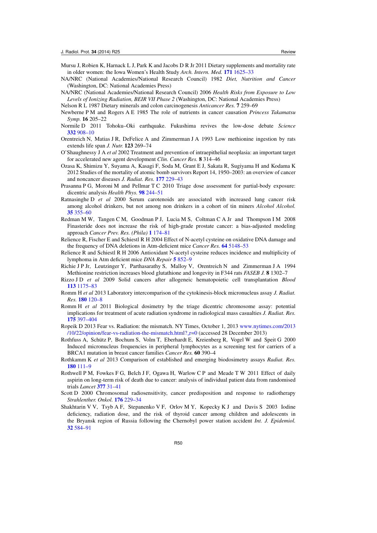- <span id="page-26-16"></span>Mursu J, Robien K, Harnack L J, Park K and Jacobs D R Jr 2011 Dietary supplements and mortality rate in older women: the Iowa Women's Health Study *Arch. Intern. Med.* [171](http://dx.doi.org/10.1001/archinternmed.2011.445) [1625–33](http://dx.doi.org/10.1001/archinternmed.2011.445)
- <span id="page-26-13"></span>NA/NRC (National Academies/National Research Council) 1982 *Diet, Nutrition and Cancer* (Washington, DC: National Academies Press)
- <span id="page-26-1"></span>NA/NRC (National Academies/National Research Council) 2006 *Health Risks from Exposure to Low Levels of Ionizing Radiation, BEIR VII Phase 2* (Washington, DC: National Academies Press)

<span id="page-26-14"></span>Nelson R L 1987 Dietary minerals and colon carcinogenesis *Anticancer Res.* 7 259–69

- <span id="page-26-15"></span>Newberne P M and Rogers A E 1985 The role of nutrients in cancer causation *Princess Takamatsu Symp.* 16 205–22
- <span id="page-26-0"></span>Normile D 2011 Tohoku–Oki earthquake. Fukushima revives the low-dose debate *Science* [332](http://dx.doi.org/10.1126/science.332.6032.908) [908–10](http://dx.doi.org/10.1126/science.332.6032.908)
- <span id="page-26-8"></span>Orentreich N, Matias J R, DeFelice A and Zimmerman J A 1993 Low methionine ingestion by rats extends life span *J. Nutr.* 123 269–74
- <span id="page-26-6"></span>O'Shaughnessy J A *et al* 2002 Treatment and prevention of intraepithelial neoplasia: an important target for accelerated new agent development *Clin. Cancer Res.* 8 314–46
- <span id="page-26-2"></span>Ozasa K, Shimizu Y, Suyama A, Kasagi F, Soda M, Grant E J, Sakata R, Sugiyama H and Kodama K 2012 Studies of the mortality of atomic bomb survivors Report 14, 1950–2003: an overview of cancer and noncancer diseases *J. Radiat. Res.* [177](http://dx.doi.org/10.1667/RR2629.1) [229–43](http://dx.doi.org/10.1667/RR2629.1)
- <span id="page-26-20"></span>Prasanna P G, Moroni M and Pellmar T C 2010 Triage dose assessment for partial-body exposure: dicentric analysis *Health Phys.* [98](http://dx.doi.org/10.1097/01.HP.0000348020.14969.4) [244–51](http://dx.doi.org/10.1097/01.HP.0000348020.14969.4)
- <span id="page-26-7"></span>Ratnasinghe D *et al* 2000 Serum carotenoids are associated with increased lung cancer risk among alcohol drinkers, but not among non drinkers in a cohort of tin miners *Alcohol Alcohol.* [35](http://dx.doi.org/10.1093/alcalc/35.4.355) [355–60](http://dx.doi.org/10.1093/alcalc/35.4.355)
- <span id="page-26-12"></span>Redman M W, Tangen C M, Goodman P J, Lucia M S, Coltman C A Jr and Thompson I M 2008 Finasteride does not increase the risk of high-grade prostate cancer: a bias-adjusted modeling approach *Cancer Prev. Res. (Phila)* [1](http://dx.doi.org/10.1158/1940-6207.CAPR-08-0092) [174–81](http://dx.doi.org/10.1158/1940-6207.CAPR-08-0092)
- <span id="page-26-10"></span>Relience R, Fischer E and Schiestl R H 2004 Effect of N-acetyl cysteine on oxidative DNA damage and the frequency of DNA deletions in Atm-deficient mice *Cancer Res.* [64](http://dx.doi.org/10.1158/0008-5472.CAN-04-0442) [5148–53](http://dx.doi.org/10.1158/0008-5472.CAN-04-0442)
- <span id="page-26-11"></span>Relience R and Schiestl R H 2006 Antioxidant N-acetyl cysteine reduces incidence and multiplicity of lymphoma in Atm deficient mice *DNA Repair* [5](http://dx.doi.org/10.1016/j.dnarep.2006.05.003) [852–9](http://dx.doi.org/10.1016/j.dnarep.2006.05.003)
- <span id="page-26-9"></span>Richie J P Jr, Leutzinger Y, Parthasarathy S, Malloy V, Orentreich N and Zimmerman J A 1994 Methionine restriction increases blood glutathione and longevity in F344 rats *FASEB J.* 8 1302–7
- <span id="page-26-17"></span>Rizzo J D *et al* 2009 Solid cancers after allogeneic hematopoietic cell transplantation *Blood* [113](http://dx.doi.org/10.1182/blood-2008-05-158782) [1175–83](http://dx.doi.org/10.1182/blood-2008-05-158782)
- <span id="page-26-18"></span>Romm H *et al* 2013 Laboratory intercomparison of the cytokinesis-block micronucleus assay *J. Radiat. Res.* [180](http://dx.doi.org/10.1667/RR3234.1) [120–8](http://dx.doi.org/10.1667/RR3234.1)
- <span id="page-26-21"></span>Romm H *et al* 2011 Biological dosimetry by the triage dicentric chromosome assay: potential implications for treatment of acute radiation syndrome in radiological mass casualties *J. Radiat. Res.* [175](http://dx.doi.org/10.1667/RR2321.1) [397–404](http://dx.doi.org/10.1667/RR2321.1)
- <span id="page-26-3"></span>Ropeik D 2013 Fear vs. Radiation: the mismatch. NY Times, October 1, 2013 [www.nytimes.com/2013](www.nytimes.com/2013/10/22/opinion/fear-vs-radiation-the-mismatch.html?_r=0)  $/10/22$ /opinion/fear-vs-radiation-the-mismatch.html?  $r=0$  (accessed 28 December 2013)
- <span id="page-26-22"></span>Rothfuss A, Schütz P, Bochum S, Volm T, Eberhardt E, Kreienberg R, Vogel W and Speit G 2000 Induced micronucleus frequencies in peripheral lymphocytes as a screening test for carriers of a BRCA1 mutation in breast cancer families *Cancer Res.* 60 390–4
- <span id="page-26-19"></span>Rothkamm K *et al* 2013 Comparison of established and emerging biodosimetry assays *Radiat. Res.* [180](http://dx.doi.org/10.1667/RR3231.1) [111–9](http://dx.doi.org/10.1667/RR3231.1)
- <span id="page-26-5"></span>Rothwell P M, Fowkes F G, Belch J F, Ogawa H, Warlow C P and Meade T W 2011 Effect of daily aspirin on long-term risk of death due to cancer: analysis of individual patient data from randomised trials *Lancet* [377](http://dx.doi.org/10.1016/S0140-6736(10)62110-1) [31–41](http://dx.doi.org/10.1016/S0140-6736(10)62110-1)
- <span id="page-26-23"></span>Scott D 2000 Chromosomal radiosensitivity, cancer predisposition and response to radiotherapy *Strahlenther. Onkol.* [176](http://dx.doi.org/10.1007/s000660050005) [229–34](http://dx.doi.org/10.1007/s000660050005)
- <span id="page-26-4"></span>Shakhtarin V V, Tsyb A F, Stepanenko V F, Orlov M Y, Kopecky K J and Davis S 2003 Iodine deficiency, radiation dose, and the risk of thyroid cancer among children and adolescents in the Bryansk region of Russia following the Chernobyl power station accident *Int. J. Epidemiol.* [32](http://dx.doi.org/10.1093/ije/dyg205) [584–91](http://dx.doi.org/10.1093/ije/dyg205)

R50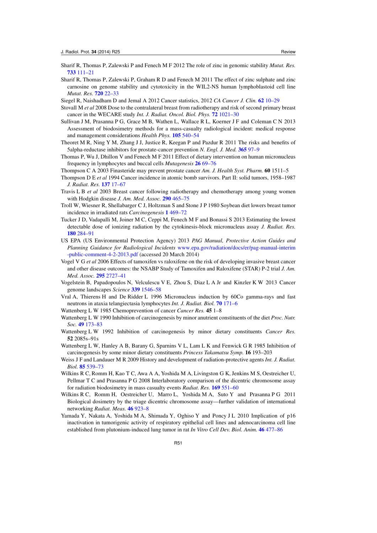- <span id="page-27-5"></span>Sharif R, Thomas P, Zalewski P and Fenech M F 2012 The role of zinc in genomic stability *Mutat. Res.* [733](http://dx.doi.org/10.1016/j.mrfmmm.2011.08.009) [111–21](http://dx.doi.org/10.1016/j.mrfmmm.2011.08.009)
- <span id="page-27-15"></span>Sharif R, Thomas P, Zalewski P, Graham R D and Fenech M 2011 The effect of zinc sulphate and zinc carnosine on genome stability and cytotoxicity in the WIL2-NS human lymphoblastoid cell line *Mutat. Res.* [720](http://dx.doi.org/10.1016/j.mrgentox.2010.12.004) [22–33](http://dx.doi.org/10.1016/j.mrgentox.2010.12.004)

<span id="page-27-17"></span><span id="page-27-1"></span>Siegel R, Naishadham D and Jemal A 2012 Cancer statistics, 2012 *CA Cancer J. Clin.* [62](http://dx.doi.org/10.3322/caac.20138) [10–29](http://dx.doi.org/10.3322/caac.20138)

- Stovall M *et al* 2008 Dose to the contralateral breast from radiotherapy and risk of second primary breast cancer in the WECARE study *Int. J. Radiat. Oncol. Biol. Phys.* [72](http://dx.doi.org/10.1016/j.ijrobp.2008.02.040) [1021–30](http://dx.doi.org/10.1016/j.ijrobp.2008.02.040)
- <span id="page-27-18"></span>Sullivan J M, Prasanna P G, Grace M B, Wathen L, Wallace R L, Koerner J F and Coleman C N 2013 Assessment of biodosimetry methods for a mass-casualty radiological incident: medical response and management considerations *Health Phys.* [105](http://dx.doi.org/10.1097/HP.0b013e31829cf221) [540–54](http://dx.doi.org/10.1097/HP.0b013e31829cf221)
- <span id="page-27-9"></span>Theoret M R, Ning Y M, Zhang J J, Justice R, Keegan P and Pazdur R 2011 The risks and benefits of 5alpha-reductase inhibitors for prostate-cancer prevention *N. Engl. J. Med.* [365](http://dx.doi.org/10.1056/NEJMp1106783) [97–9](http://dx.doi.org/10.1056/NEJMp1106783)
- <span id="page-27-19"></span>Thomas P, Wu J, Dhillon V and Fenech M F 2011 Effect of dietary intervention on human micronucleus frequency in lymphocytes and buccal cells *Mutagenesis* [26](http://dx.doi.org/10.1093/mutage/geq072) [69–76](http://dx.doi.org/10.1093/mutage/geq072)

<span id="page-27-8"></span>Thompson C A 2003 Finasteride may prevent prostate cancer *Am. J. Health Syst. Pharm.* 60 1511–5

- <span id="page-27-2"></span>Thompson D E *et al* 1994 Cancer incidence in atomic bomb survivors. Part II: solid tumors, 1958–1987 *J. Radiat. Res.* [137](http://dx.doi.org/10.2307/3578892) [17–67](http://dx.doi.org/10.2307/3578892)
- <span id="page-27-16"></span>Travis L B *et al* 2003 Breast cancer following radiotherapy and chemotherapy among young women with Hodgkin disease *J. Am. Med. Assoc.* [290](http://dx.doi.org/10.1001/jama.290.4.465) [465–75](http://dx.doi.org/10.1001/jama.290.4.465)
- <span id="page-27-14"></span>Troll W, Wiesner R, Shellabarger C J, Holtzman S and Stone J P 1980 Soybean diet lowers breast tumor incidence in irradiated rats *Carcinogenesis* [1](http://dx.doi.org/10.1093/carcin/1.6.469) [469–72](http://dx.doi.org/10.1093/carcin/1.6.469)
- <span id="page-27-20"></span>Tucker J D, Vadapalli M, Joiner M C, Ceppi M, Fenech M F and Bonassi S 2013 Estimating the lowest detectable dose of ionizing radiation by the cytokinesis-block micronucleus assay *J. Radiat. Res.* [180](http://dx.doi.org/10.1667/RR3346.1) [284–91](http://dx.doi.org/10.1667/RR3346.1)
- <span id="page-27-0"></span>US EPA (US Environmental Protection Agency) 2013 *PAG Manual, Protective Action Guides and Planning Guidance for Radiological Incidents* [www.epa.gov/radiation/docs/er/pag-manual-interim](#page-0-0) [-public-comment-4-2-2013.pdf](#page-0-0) (accessed 20 March 2014)
- <span id="page-27-7"></span>Vogel V G *et al* 2006 Effects of tamoxifen vs raloxifene on the risk of developing invasive breast cancer and other disease outcomes: the NSABP Study of Tamoxifen and Raloxifene (STAR) P-2 trial *J. Am. Med. Assoc.* [295](http://dx.doi.org/10.1001/jama.295.23.joc60074) [2727–41](http://dx.doi.org/10.1001/jama.295.23.joc60074)
- <span id="page-27-3"></span>Vogelstein B, Papadopoulos N, Velculescu V E, Zhou S, Diaz L A Jr and Kinzler K W 2013 Cancer genome landscapes *Science* [339](http://dx.doi.org/10.1126/science.1235122) [1546–58](http://dx.doi.org/10.1126/science.1235122)
- <span id="page-27-23"></span>Vral A, Thierens H and De Ridder L 1996 Micronucleus induction by 60Co gamma-rays and fast neutrons in ataxia telangiectasia lymphocytes *Int. J. Radiat. Biol.* [70](http://dx.doi.org/10.1080/095530096145166) [171–6](http://dx.doi.org/10.1080/095530096145166)

<span id="page-27-10"></span>Wattenberg L W 1985 Chemoprevention of cancer *Cancer Res.* 45 1–8

- <span id="page-27-11"></span>Wattenberg L W 1990 Inhibition of carcinogenesis by minor anutrient constituents of the diet *Proc. Nutr. Soc.* [49](http://dx.doi.org/10.1079/PNS19900022) [173–83](http://dx.doi.org/10.1079/PNS19900022)
- <span id="page-27-12"></span>Wattenberg L W 1992 Inhibition of carcinogenesis by minor dietary constituents *Cancer Res.* 52 2085s–91s
- <span id="page-27-13"></span>Wattenberg L W, Hanley A B, Barany G, Sparnins V L, Lam L K and Fenwick G R 1985 Inhibition of carcinogenesis by some minor dietary constituents *Princess Takamatsu Symp.* 16 193–203
- <span id="page-27-4"></span>Weiss J F and Landauer M R 2009 History and development of radiation-protective agents *Int. J. Radiat. Biol.* [85](http://dx.doi.org/10.1080/09553000902985144) [539–73](http://dx.doi.org/10.1080/09553000902985144)
- <span id="page-27-21"></span>Wilkins R C, Romm H, Kao T C, Awa A A, Yoshida M A, Livingston G K, Jenkins M S, Oestreicher U, Pellmar T C and Prasanna P G 2008 Interlaboratory comparison of the dicentric chromosome assay for radiation biodosimetry in mass casualty events *Radiat. Res.* [169](http://dx.doi.org/10.1667/RR1272.1) [551–60](http://dx.doi.org/10.1667/RR1272.1)
- <span id="page-27-22"></span>Wilkins R C, Romm H, Oestreicher U, Marro L, Yoshida M A, Suto Y and Prasanna P G 2011 Biological dosimetry by the triage dicentric chromosome assay—further validation of international networking *Radiat. Meas.* [46](http://dx.doi.org/10.1016/j.radmeas.2011.03.012) [923–8](http://dx.doi.org/10.1016/j.radmeas.2011.03.012)
- <span id="page-27-6"></span>Yamada Y, Nakata A, Yoshida M A, Shimada Y, Oghiso Y and Poncy J L 2010 Implication of p16 inactivation in tumorigenic activity of respiratory epithelial cell lines and adenocarcinoma cell line established from plutonium-induced lung tumor in rat *In Vitro Cell Dev. Biol. Anim.* [46](http://dx.doi.org/10.1007/s11626-009-9269-3) [477–86](http://dx.doi.org/10.1007/s11626-009-9269-3)